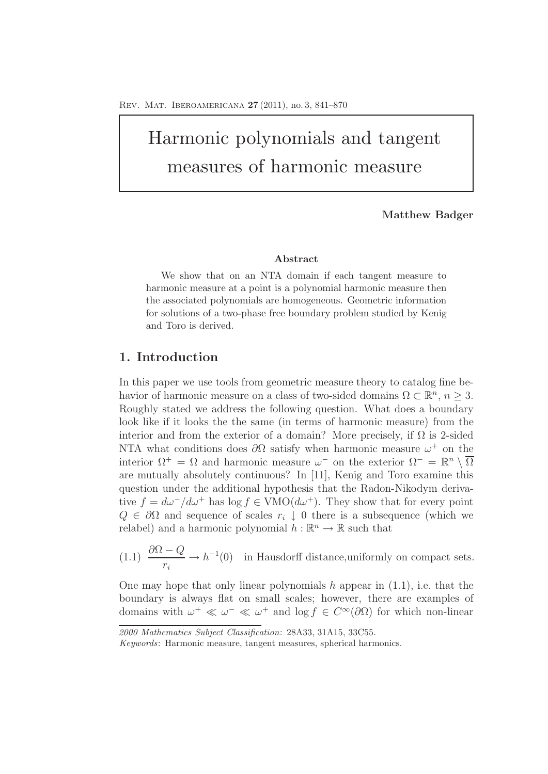# Harmonic polynomials and tangent measures of harmonic measure

#### **Matthew Badger**

#### **Abstract**

We show that on an NTA domain if each tangent measure to harmonic measure at a point is a polynomial harmonic measure then the associated polynomials are homogeneous. Geometric information for solutions of a two-phase free boundary problem studied by Kenig and Toro is derived.

# **1. Introduction**

In this paper we use tools from geometric measure theory to catalog fine behavior of harmonic measure on a class of two-sided domains  $\Omega \subset \mathbb{R}^n$ ,  $n \geq 3$ . Roughly stated we address the following question. What does a boundary look like if it looks the the same (in terms of harmonic measure) from the interior and from the exterior of a domain? More precisely, if  $\Omega$  is 2-sided NTA what conditions does  $\partial\Omega$  satisfy when harmonic measure  $\omega^+$  on the interior  $\Omega^+ = \Omega$  and harmonic measure  $\omega^-$  on the exterior  $\Omega^- = \mathbb{R}^n \setminus \overline{\Omega}$ are mutually absolutely continuous? In [11], Kenig and Toro examine this question under the additional hypothesis that the Radon-Nikodym derivative  $f = d\omega^-/d\omega^+$  has  $\log f \in \text{VMO}(d\omega^+)$ . They show that for every point  $Q \in \partial\Omega$  and sequence of scales  $r_i \downarrow 0$  there is a subsequence (which we relabel) and a harmonic polynomial  $h : \mathbb{R}^n \to \mathbb{R}$  such that

(1.1) 
$$
\frac{\partial \Omega - Q}{r_i} \to h^{-1}(0) \text{ in Hausdorff distance, uniformly on compact sets.}
$$

One may hope that only linear polynomials h appear in  $(1.1)$ , i.e. that the boundary is always flat on small scales; however, there are examples of domains with  $\omega^+ \ll \omega^- \ll \omega^+$  and  $\log f \in C^{\infty}(\partial \Omega)$  for which non-linear

*<sup>2000</sup> Mathematics Subject Classification*: 28A33, 31A15, 33C55.

*Keywords*: Harmonic measure, tangent measures, spherical harmonics.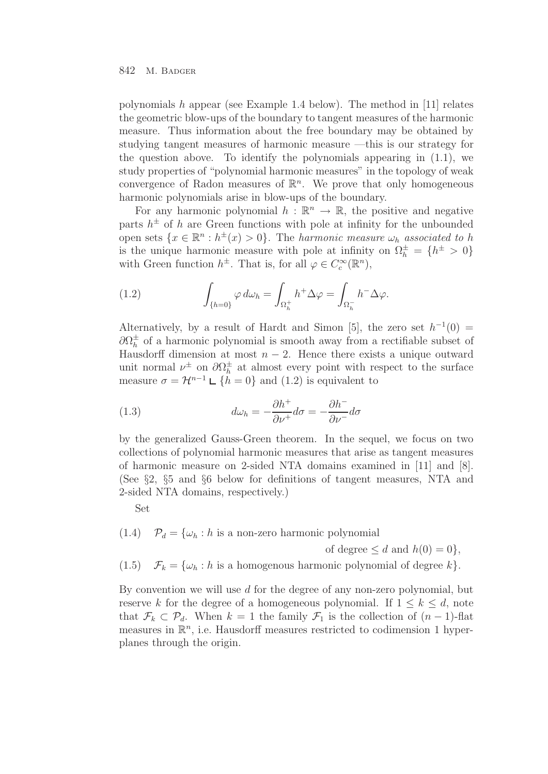polynomials  $h$  appear (see Example 1.4 below). The method in [11] relates the geometric blow-ups of the boundary to tangent measures of the harmonic measure. Thus information about the free boundary may be obtained by studying tangent measures of harmonic measure —this is our strategy for the question above. To identify the polynomials appearing in (1.1), we study properties of "polynomial harmonic measures" in the topology of weak convergence of Radon measures of  $\mathbb{R}^n$ . We prove that only homogeneous harmonic polynomials arise in blow-ups of the boundary.

For any harmonic polynomial  $h : \mathbb{R}^n \to \mathbb{R}$ , the positive and negative parts  $h^{\pm}$  of h are Green functions with pole at infinity for the unbounded open sets  $\{x \in \mathbb{R}^n : h^{\pm}(x) > 0\}$ . The *harmonic measure*  $\omega_h$  associated to h is the unique harmonic measure with pole at infinity on  $\Omega_h^{\pm} = \{h^{\pm} > 0\}$ with Green function  $h^{\pm}$ . That is, for all  $\varphi \in C_c^{\infty}(\mathbb{R}^n)$ ,

(1.2) 
$$
\int_{\{h=0\}} \varphi \, d\omega_h = \int_{\Omega_h^+} h^+ \Delta \varphi = \int_{\Omega_h^-} h^- \Delta \varphi.
$$

Alternatively, by a result of Hardt and Simon [5], the zero set  $h^{-1}(0)$  =  $\partial\Omega_h^{\pm}$  of a harmonic polynomial is smooth away from a rectifiable subset of Hausdorff dimension at most  $n-2$ . Hence there exists a unique outward unit normal  $\nu^{\pm}$  on  $\partial \Omega_h^{\pm}$  at almost every point with respect to the surface measure  $\sigma = \mathcal{H}^{n-1} \sqcup \{h = 0\}$  and (1.2) is equivalent to

(1.3) 
$$
d\omega_h = -\frac{\partial h^+}{\partial \nu^+} d\sigma = -\frac{\partial h^-}{\partial \nu^-} d\sigma
$$

by the generalized Gauss-Green theorem. In the sequel, we focus on two collections of polynomial harmonic measures that arise as tangent measures of harmonic measure on 2-sided NTA domains examined in [11] and [8]. (See §2, §5 and §6 below for definitions of tangent measures, NTA and 2-sided NTA domains, respectively.)

Set

 $(1.4)$   $\mathcal{P}_d = {\omega_h : h \text{ is a non-zero harmonic polynomial}}$ of degree  $\leq d$  and  $h(0) = 0$ ,

(1.5)  $\mathcal{F}_k = {\omega_h : h \text{ is a homogeneous harmonic polynomial of degree } k}.$ 

By convention we will use  $d$  for the degree of any non-zero polynomial, but reserve k for the degree of a homogeneous polynomial. If  $1 \leq k \leq d$ , note that  $\mathcal{F}_k \subset \mathcal{P}_d$ . When  $k = 1$  the family  $\mathcal{F}_1$  is the collection of  $(n-1)$ -flat measures in  $\mathbb{R}^n$ , i.e. Hausdorff measures restricted to codimension 1 hyperplanes through the origin.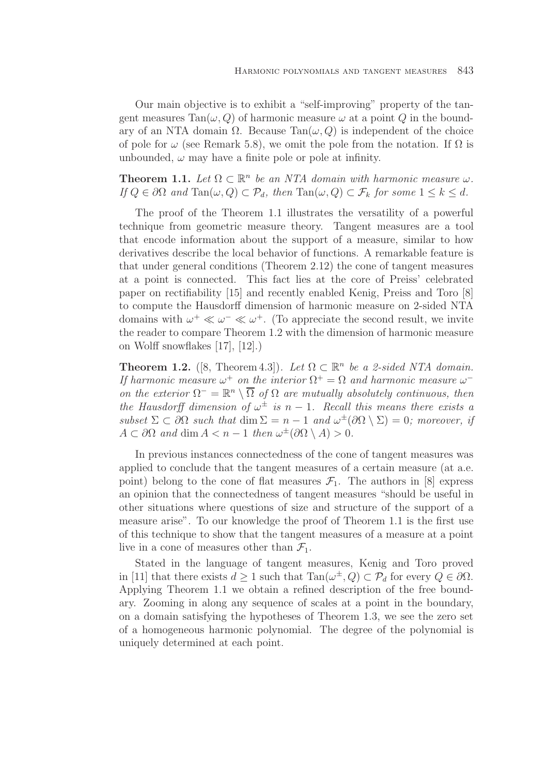Our main objective is to exhibit a "self-improving" property of the tangent measures  $Tan(\omega, Q)$  of harmonic measure  $\omega$  at a point Q in the boundary of an NTA domain  $\Omega$ . Because Tan $(\omega, Q)$  is independent of the choice of pole for  $\omega$  (see Remark 5.8), we omit the pole from the notation. If  $\Omega$  is unbounded,  $\omega$  may have a finite pole or pole at infinity.

**Theorem 1.1.** Let  $\Omega \subset \mathbb{R}^n$  be an NTA domain with harmonic measure  $\omega$ . If  $Q \in \partial \Omega$  and  $\text{Tan}(\omega, Q) \subset \mathcal{P}_d$ , then  $\text{Tan}(\omega, Q) \subset \mathcal{F}_k$  for some  $1 \leq k \leq d$ .

The proof of the Theorem 1.1 illustrates the versatility of a powerful technique from geometric measure theory. Tangent measures are a tool that encode information about the support of a measure, similar to how derivatives describe the local behavior of functions. A remarkable feature is that under general conditions (Theorem 2.12) the cone of tangent measures at a point is connected. This fact lies at the core of Preiss' celebrated paper on rectifiability [15] and recently enabled Kenig, Preiss and Toro [8] to compute the Hausdorff dimension of harmonic measure on 2-sided NTA domains with  $\omega^+ \ll \omega^- \ll \omega^+$ . (To appreciate the second result, we invite the reader to compare Theorem 1.2 with the dimension of harmonic measure on Wolff snowflakes [17], [12].)

**Theorem 1.2.** ([8, Theorem 4.3]). Let  $\Omega \subset \mathbb{R}^n$  be a 2-sided NTA domain. If harmonic measure  $\omega^+$  on the interior  $\Omega^+ = \Omega$  and harmonic measure  $\omega^$ on the exterior  $\Omega^- = \mathbb{R}^n \setminus \overline{\Omega}$  of  $\Omega$  are mutually absolutely continuous, then the Hausdorff dimension of  $\omega^{\pm}$  is n – 1. Recall this means there exists a subset  $\Sigma \subset \partial \Omega$  such that  $\dim \Sigma = n-1$  and  $\omega^{\pm}(\partial \Omega \setminus \Sigma) = 0$ ; moreover, if  $A \subset \partial\Omega$  and dim  $A < n - 1$  then  $\omega^{\pm}(\partial\Omega \setminus A) > 0$ .

In previous instances connectedness of the cone of tangent measures was applied to conclude that the tangent measures of a certain measure (at a.e. point) belong to the cone of flat measures  $\mathcal{F}_1$ . The authors in [8] express an opinion that the connectedness of tangent measures "should be useful in other situations where questions of size and structure of the support of a measure arise". To our knowledge the proof of Theorem 1.1 is the first use of this technique to show that the tangent measures of a measure at a point live in a cone of measures other than  $\mathcal{F}_1$ .

Stated in the language of tangent measures, Kenig and Toro proved in [11] that there exists  $d \geq 1$  such that  $\text{Tan}(\omega^{\pm}, Q) \subset \mathcal{P}_d$  for every  $Q \in \partial \Omega$ . Applying Theorem 1.1 we obtain a refined description of the free boundary. Zooming in along any sequence of scales at a point in the boundary, on a domain satisfying the hypotheses of Theorem 1.3, we see the zero set of a homogeneous harmonic polynomial. The degree of the polynomial is uniquely determined at each point.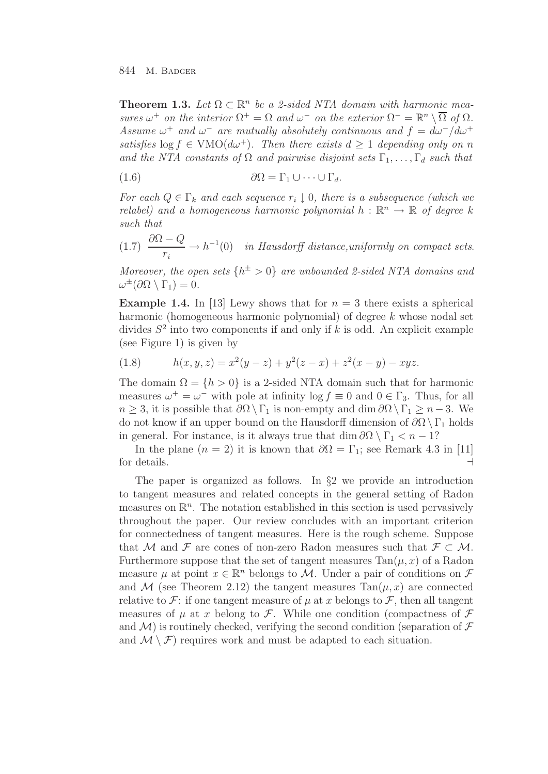**Theorem 1.3.** Let  $\Omega \subset \mathbb{R}^n$  be a 2-sided NTA domain with harmonic measures  $\omega^+$  on the interior  $\Omega^+ = \Omega$  and  $\omega^-$  on the exterior  $\Omega^- = \mathbb{R}^n \setminus \overline{\Omega}$  of  $\Omega$ . Assume  $\omega^+$  and  $\omega^-$  are mutually absolutely continuous and  $f = d\omega^-/d\omega^+$ satisfies  $\log f \in \text{VMO}(d\omega^+)$ . Then there exists  $d \geq 1$  depending only on n and the NTA constants of  $\Omega$  and pairwise disjoint sets  $\Gamma_1,\ldots,\Gamma_d$  such that

$$
(1.6) \t\t\t\t\t\partial\Omega = \Gamma_1 \cup \cdots \cup \Gamma_d.
$$

For each  $Q \in \Gamma_k$  and each sequence  $r_i \downarrow 0$ , there is a subsequence (which we relabel) and a homogeneous harmonic polynomial  $h : \mathbb{R}^n \to \mathbb{R}$  of degree k such that

(1.7) 
$$
\frac{\partial \Omega - Q}{r_i} \to h^{-1}(0) \quad in \ Hausdorff \ distance, uniformly \ on \ compact \ sets.
$$

Moreover, the open sets  $\{h^{\pm} > 0\}$  are unbounded 2-sided NTA domains and  $\omega^{\pm}(\partial\Omega\setminus\Gamma_1)=0.$ 

**Example 1.4.** In [13] Lewy shows that for  $n = 3$  there exists a spherical harmonic (homogeneous harmonic polynomial) of degree k whose nodal set divides  $S^2$  into two components if and only if k is odd. An explicit example (see Figure 1) is given by

(1.8) 
$$
h(x, y, z) = x^2(y - z) + y^2(z - x) + z^2(x - y) - xyz.
$$

The domain  $\Omega = \{h > 0\}$  is a 2-sided NTA domain such that for harmonic measures  $\omega^+ = \omega^-$  with pole at infinity  $\log f \equiv 0$  and  $0 \in \Gamma_3$ . Thus, for all  $n \geq 3$ , it is possible that  $\partial\Omega \setminus \Gamma_1$  is non-empty and dim  $\partial\Omega \setminus \Gamma_1 \geq n-3$ . We do not know if an upper bound on the Hausdorff dimension of  $\partial\Omega \setminus \Gamma_1$  holds in general. For instance, is it always true that dim  $\partial\Omega \setminus \Gamma_1 < n - 1$ ?

In the plane  $(n = 2)$  it is known that  $\partial\Omega = \Gamma_1$ ; see Remark 4.3 in [11] for details.

The paper is organized as follows. In §2 we provide an introduction to tangent measures and related concepts in the general setting of Radon measures on  $\mathbb{R}^n$ . The notation established in this section is used pervasively throughout the paper. Our review concludes with an important criterion for connectedness of tangent measures. Here is the rough scheme. Suppose that M and F are cones of non-zero Radon measures such that  $\mathcal{F} \subset \mathcal{M}$ . Furthermore suppose that the set of tangent measures  $Tan(\mu, x)$  of a Radon measure  $\mu$  at point  $x \in \mathbb{R}^n$  belongs to M. Under a pair of conditions on  $\mathcal F$ and M (see Theorem 2.12) the tangent measures  $Tan(\mu, x)$  are connected relative to F: if one tangent measure of  $\mu$  at x belongs to F, then all tangent measures of  $\mu$  at x belong to  $\mathcal F$ . While one condition (compactness of  $\mathcal F$ and  $\mathcal{M}$ ) is routinely checked, verifying the second condition (separation of  $\mathcal F$ and  $\mathcal{M}\setminus\mathcal{F}$  requires work and must be adapted to each situation.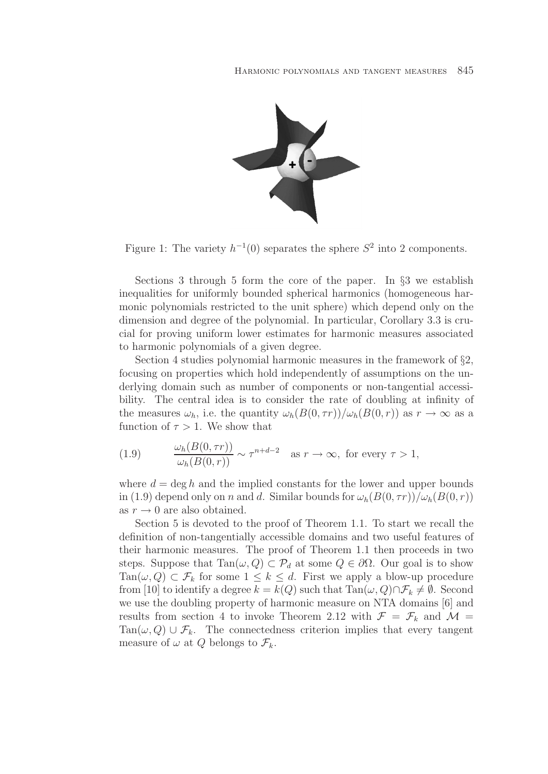

Figure 1: The variety  $h^{-1}(0)$  separates the sphere  $S^2$  into 2 components.

Sections 3 through 5 form the core of the paper. In §3 we establish inequalities for uniformly bounded spherical harmonics (homogeneous harmonic polynomials restricted to the unit sphere) which depend only on the dimension and degree of the polynomial. In particular, Corollary 3.3 is crucial for proving uniform lower estimates for harmonic measures associated to harmonic polynomials of a given degree.

Section 4 studies polynomial harmonic measures in the framework of §2, focusing on properties which hold independently of assumptions on the underlying domain such as number of components or non-tangential accessibility. The central idea is to consider the rate of doubling at infinity of the measures  $\omega_h$ , i.e. the quantity  $\omega_h(B(0, \tau r))/\omega_h(B(0, r))$  as  $r \to \infty$  as a function of  $\tau > 1$ . We show that

(1.9) 
$$
\frac{\omega_h(B(0,\tau r))}{\omega_h(B(0,r))} \sim \tau^{n+d-2} \quad \text{as } r \to \infty, \text{ for every } \tau > 1,
$$

where  $d = \deg h$  and the implied constants for the lower and upper bounds in (1.9) depend only on n and d. Similar bounds for  $\omega_h(B(0, \tau r))/\omega_h(B(0, r))$ as  $r \rightarrow 0$  are also obtained.

Section 5 is devoted to the proof of Theorem 1.1. To start we recall the definition of non-tangentially accessible domains and two useful features of their harmonic measures. The proof of Theorem 1.1 then proceeds in two steps. Suppose that  $\text{Tan}(\omega, Q) \subset \mathcal{P}_d$  at some  $Q \in \partial \Omega$ . Our goal is to show Tan( $\omega, Q$ )  $\subset \mathcal{F}_k$  for some  $1 \leq k \leq d$ . First we apply a blow-up procedure from [10] to identify a degree  $k = k(Q)$  such that  $\text{Tan}(\omega, Q) \cap \mathcal{F}_k \neq \emptyset$ . Second we use the doubling property of harmonic measure on NTA domains [6] and results from section 4 to invoke Theorem 2.12 with  $\mathcal{F} = \mathcal{F}_k$  and  $\mathcal{M} =$ Tan( $\omega, Q$ ) ∪  $\mathcal{F}_k$ . The connectedness criterion implies that every tangent measure of  $\omega$  at Q belongs to  $\mathcal{F}_k$ .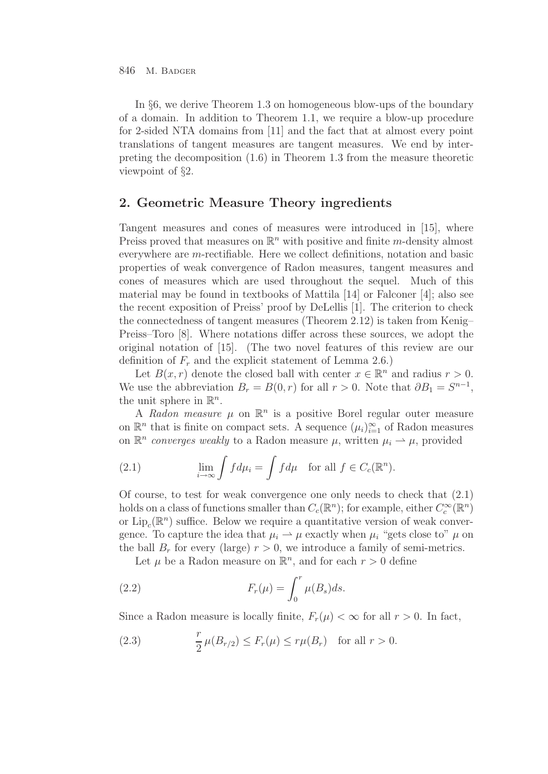In §6, we derive Theorem 1.3 on homogeneous blow-ups of the boundary of a domain. In addition to Theorem 1.1, we require a blow-up procedure for 2-sided NTA domains from [11] and the fact that at almost every point translations of tangent measures are tangent measures. We end by interpreting the decomposition (1.6) in Theorem 1.3 from the measure theoretic viewpoint of §2.

## **2. Geometric Measure Theory ingredients**

Tangent measures and cones of measures were introduced in [15], where Preiss proved that measures on  $\mathbb{R}^n$  with positive and finite m-density almost everywhere are m-rectifiable. Here we collect definitions, notation and basic properties of weak convergence of Radon measures, tangent measures and cones of measures which are used throughout the sequel. Much of this material may be found in textbooks of Mattila [14] or Falconer [4]; also see the recent exposition of Preiss' proof by DeLellis [1]. The criterion to check the connectedness of tangent measures (Theorem 2.12) is taken from Kenig– Preiss–Toro [8]. Where notations differ across these sources, we adopt the original notation of [15]. (The two novel features of this review are our definition of  $F_r$  and the explicit statement of Lemma 2.6.)

Let  $B(x, r)$  denote the closed ball with center  $x \in \mathbb{R}^n$  and radius  $r > 0$ . We use the abbreviation  $B_r = B(0, r)$  for all  $r > 0$ . Note that  $\partial B_1 = S^{n-1}$ , the unit sphere in  $\mathbb{R}^n$ .

A Radon measure  $\mu$  on  $\mathbb{R}^n$  is a positive Borel regular outer measure on  $\mathbb{R}^n$  that is finite on compact sets. A sequence  $(\mu_i)_{i=1}^{\infty}$  of Radon measures on  $\mathbb{R}^n$  converges weakly to a Radon measure  $\mu$ , written  $\mu_i \rightharpoonup \mu$ , provided

(2.1) 
$$
\lim_{i \to \infty} \int f d\mu_i = \int f d\mu \quad \text{for all } f \in C_c(\mathbb{R}^n).
$$

Of course, to test for weak convergence one only needs to check that (2.1) holds on a class of functions smaller than  $C_c(\mathbb{R}^n)$ ; for example, either  $C_c^{\infty}(\mathbb{R}^n)$ or  $\text{Lip}_{c}(\mathbb{R}^{n})$  suffice. Below we require a quantitative version of weak convergence. To capture the idea that  $\mu_i \rightharpoonup \mu$  exactly when  $\mu_i$  "gets close to"  $\mu$  on the ball  $B_r$  for every (large)  $r > 0$ , we introduce a family of semi-metrics.

Let  $\mu$  be a Radon measure on  $\mathbb{R}^n$ , and for each  $r > 0$  define

(2.2) 
$$
F_r(\mu) = \int_0^r \mu(B_s)ds.
$$

Since a Radon measure is locally finite,  $F_r(\mu) < \infty$  for all  $r > 0$ . In fact,

(2.3) 
$$
\frac{r}{2}\,\mu(B_{r/2}) \le F_r(\mu) \le r\mu(B_r) \text{ for all } r > 0.
$$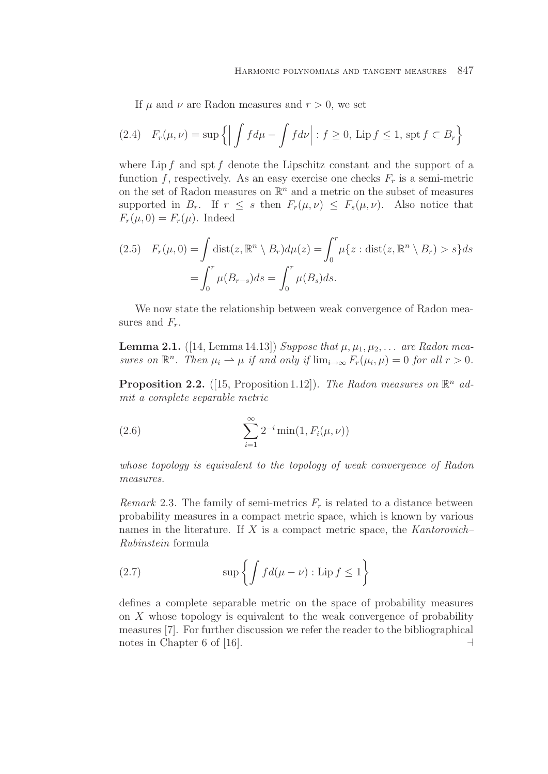If  $\mu$  and  $\nu$  are Radon measures and  $r > 0$ , we set

(2.4) 
$$
F_r(\mu, \nu) = \sup \{ \left| \int f d\mu - \int f d\nu \right| : f \ge 0, \text{ Lip } f \le 1, \text{ spt } f \subset B_r \}
$$

where  $\text{Lip } f$  and spt f denote the Lipschitz constant and the support of a function f, respectively. As an easy exercise one checks  $F_r$  is a semi-metric on the set of Radon measures on  $\mathbb{R}^n$  and a metric on the subset of measures supported in  $B_r$ . If  $r \leq s$  then  $F_r(\mu, \nu) \leq F_s(\mu, \nu)$ . Also notice that  $F_r(\mu, 0) = F_r(\mu)$ . Indeed

$$
(2.5) \quad F_r(\mu, 0) = \int \text{dist}(z, \mathbb{R}^n \setminus B_r) d\mu(z) = \int_0^r \mu\{z : \text{dist}(z, \mathbb{R}^n \setminus B_r) > s\} ds
$$

$$
= \int_0^r \mu(B_{r-s}) ds = \int_0^r \mu(B_s) ds.
$$

We now state the relationship between weak convergence of Radon measures and  $F_r$ .

**Lemma 2.1.** ([14, Lemma 14.13]) Suppose that  $\mu, \mu_1, \mu_2, \ldots$  are Radon measures on  $\mathbb{R}^n$ . Then  $\mu_i \rightharpoonup \mu$  if and only if  $\lim_{i \to \infty} F_r(\mu_i, \mu) = 0$  for all  $r > 0$ .

**Proposition 2.2.** ([15, Proposition 1.12]). The Radon measures on  $\mathbb{R}^n$  admit a complete separable metric

(2.6) 
$$
\sum_{i=1}^{\infty} 2^{-i} \min(1, F_i(\mu, \nu))
$$

whose topology is equivalent to the topology of weak convergence of Radon measures.

Remark 2.3. The family of semi-metrics  $F_r$  is related to a distance between probability measures in a compact metric space, which is known by various names in the literature. If  $X$  is a compact metric space, the Kantorovich– Rubinstein formula

(2.7) 
$$
\sup \left\{ \int f d(\mu - \nu) : \text{Lip } f \leq 1 \right\}
$$

defines a complete separable metric on the space of probability measures on  $X$  whose topology is equivalent to the weak convergence of probability measures [7]. For further discussion we refer the reader to the bibliographical notes in Chapter 6 of [16].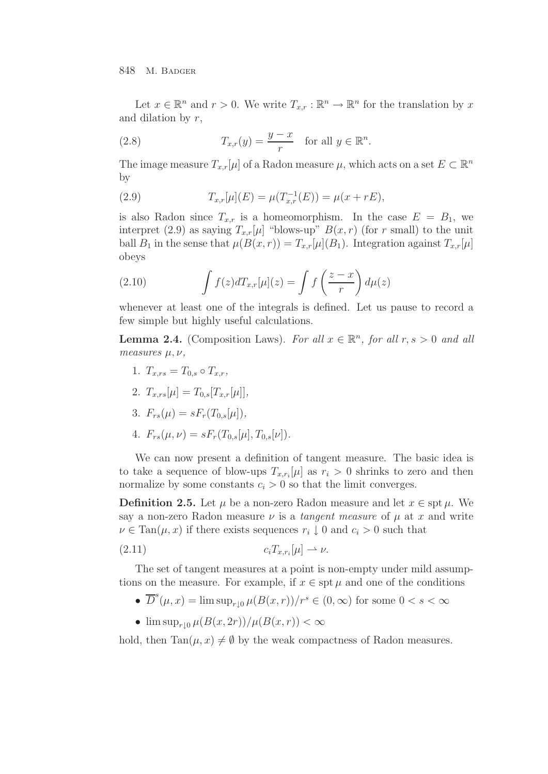Let  $x \in \mathbb{R}^n$  and  $r > 0$ . We write  $T_{x,r} : \mathbb{R}^n \to \mathbb{R}^n$  for the translation by x and dilation by  $r$ ,

(2.8) 
$$
T_{x,r}(y) = \frac{y-x}{r} \text{ for all } y \in \mathbb{R}^n.
$$

The image measure  $T_{x,r}[\mu]$  of a Radon measure  $\mu$ , which acts on a set  $E \subset \mathbb{R}^n$ by

(2.9) 
$$
T_{x,r}[\mu](E) = \mu(T_{x,r}^{-1}(E)) = \mu(x + rE),
$$

is also Radon since  $T_{x,r}$  is a homeomorphism. In the case  $E = B_1$ , we interpret (2.9) as saying  $T_{x,r}[\mu]$  "blows-up"  $B(x, r)$  (for r small) to the unit ball  $B_1$  in the sense that  $\mu(B(x, r)) = T_{x,r}[\mu](B_1)$ . Integration against  $T_{x,r}[\mu]$ obeys

(2.10) 
$$
\int f(z)dT_{x,r}[\mu](z) = \int f\left(\frac{z-x}{r}\right)d\mu(z)
$$

whenever at least one of the integrals is defined. Let us pause to record a few simple but highly useful calculations.

**Lemma 2.4.** (Composition Laws). For all  $x \in \mathbb{R}^n$ , for all  $r, s > 0$  and all measures  $\mu, \nu,$ 

- 1.  $T_{x,rs} = T_{0,s} \circ T_{x,r}$ ,
- 2.  $T_{x,rs}[\mu] = T_{0,s}[T_{x,r}[\mu]]$
- 3.  $F_{rs}(\mu) = sF_r(T_{0,s}[\mu]),$
- 4.  $F_{rs}(\mu, \nu) = s F_r(T_{0,s}[\mu], T_{0,s}[\nu]).$

We can now present a definition of tangent measure. The basic idea is to take a sequence of blow-ups  $T_{x,r_i}[\mu]$  as  $r_i > 0$  shrinks to zero and then normalize by some constants  $c_i > 0$  so that the limit converges.

**Definition 2.5.** Let  $\mu$  be a non-zero Radon measure and let  $x \in \text{spt } \mu$ . We say a non-zero Radon measure  $\nu$  is a *tangent measure* of  $\mu$  at x and write  $\nu \in \text{Tan}(\mu, x)$  if there exists sequences  $r_i \downarrow 0$  and  $c_i > 0$  such that

$$
(2.11) \t\t c_i T_{x,r_i}[\mu] \rightharpoonup \nu.
$$

The set of tangent measures at a point is non-empty under mild assumptions on the measure. For example, if  $x \in \text{spt } \mu$  and one of the conditions

- $\overline{D}^s(\mu, x) = \limsup_{r \downarrow 0} \mu(B(x, r))/r^s \in (0, \infty)$  for some  $0 < s < \infty$
- $\limsup_{r\downarrow 0} \mu(B(x, 2r))/\mu(B(x, r)) < \infty$

hold, then  $Tan(\mu, x) \neq \emptyset$  by the weak compactness of Radon measures.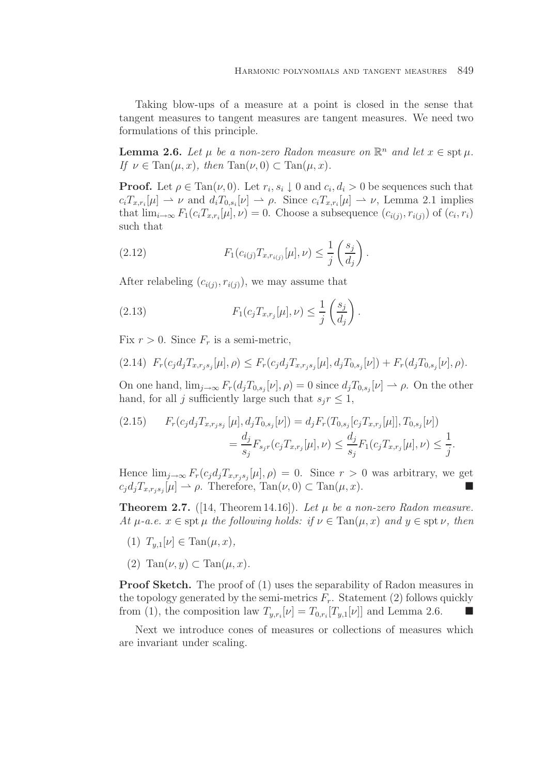Taking blow-ups of a measure at a point is closed in the sense that tangent measures to tangent measures are tangent measures. We need two formulations of this principle.

**Lemma 2.6.** Let  $\mu$  be a non-zero Radon measure on  $\mathbb{R}^n$  and let  $x \in \text{spt } \mu$ . If  $\nu \in \text{Tan}(\mu, x)$ , then  $\text{Tan}(\nu, 0) \subset \text{Tan}(\mu, x)$ .

**Proof.** Let  $\rho \in \text{Tan}(\nu, 0)$ . Let  $r_i, s_i \downarrow 0$  and  $c_i, d_i > 0$  be sequences such that  $c_i T_{x,r_i}[\mu] \rightharpoonup \nu$  and  $d_i T_{0,s_i}[\nu] \rightharpoonup \rho$ . Since  $c_i T_{x,r_i}[\mu] \rightharpoonup \nu$ , Lemma 2.1 implies that  $\lim_{i\to\infty} F_1(c_iT_{x,r_i}[\mu],\nu) = 0$ . Choose a subsequence  $(c_{i(j)}, r_{i(j)})$  of  $(c_i, r_i)$ such that

(2.12) 
$$
F_1(c_{i(j)}T_{x,r_{i(j)}}[\mu],\nu) \leq \frac{1}{j} \left(\frac{s_j}{d_j}\right).
$$

After relabeling  $(c_{i(i)}, r_{i(i)})$ , we may assume that

(2.13) 
$$
F_1(c_j T_{x,r_j}[\mu], \nu) \leq \frac{1}{j} \left( \frac{s_j}{d_j} \right).
$$

Fix  $r > 0$ . Since  $F_r$  is a semi-metric,

$$
(2.14) F_r(c_j d_j T_{x,r_js_j}[\mu], \rho) \leq F_r(c_j d_j T_{x,r_js_j}[\mu], d_j T_{0,s_j}[\nu]) + F_r(d_j T_{0,s_j}[\nu], \rho).
$$

On one hand,  $\lim_{j\to\infty} F_r(d_jT_{0,s_j}[\nu], \rho) = 0$  since  $d_jT_{0,s_j}[\nu] \to \rho$ . On the other hand, for all j sufficiently large such that  $s_i r \leq 1$ ,

$$
(2.15) \qquad F_r(c_j d_j T_{x, r_j s_j} [\mu], d_j T_{0, s_j} [\nu]) = d_j F_r(T_{0, s_j} [c_j T_{x, r_j} [\mu]], T_{0, s_j} [\nu])
$$

$$
= \frac{d_j}{s_j} F_{s_j r}(c_j T_{x, r_j} [\mu], \nu) \le \frac{d_j}{s_j} F_1(c_j T_{x, r_j} [\mu], \nu) \le \frac{1}{j}.
$$

Hence  $\lim_{j\to\infty} F_r(c_j d_j T_{x,r_js_j}[\mu], \rho) = 0$ . Since  $r > 0$  was arbitrary, we get  $c_j d_j T_{x,r_i s_j}[\mu] \rightharpoonup \rho$ . Therefore, Tan $(\nu, 0) \subset \text{Tan}(\mu, x)$ .

**Theorem 2.7.** ([14, Theorem 14.16]). Let  $\mu$  be a non-zero Radon measure. At  $\mu$ -a.e.  $x \in \text{spt } \mu$  the following holds: if  $\nu \in \text{Tan}(\mu, x)$  and  $y \in \text{spt } \nu$ , then

- (1)  $T_{y,1}[\nu] \in \text{Tan}(\mu, x),$
- (2)  $\text{Tan}(\nu, y) \subset \text{Tan}(\mu, x)$ .

**Proof Sketch.** The proof of (1) uses the separability of Radon measures in the topology generated by the semi-metrics  $F_r$ . Statement (2) follows quickly from (1), the composition law  $T_{y,r_i}[\nu] = T_{0,r_i}[T_{y,1}[\nu]]$  and Lemma 2.6.

Next we introduce cones of measures or collections of measures which are invariant under scaling.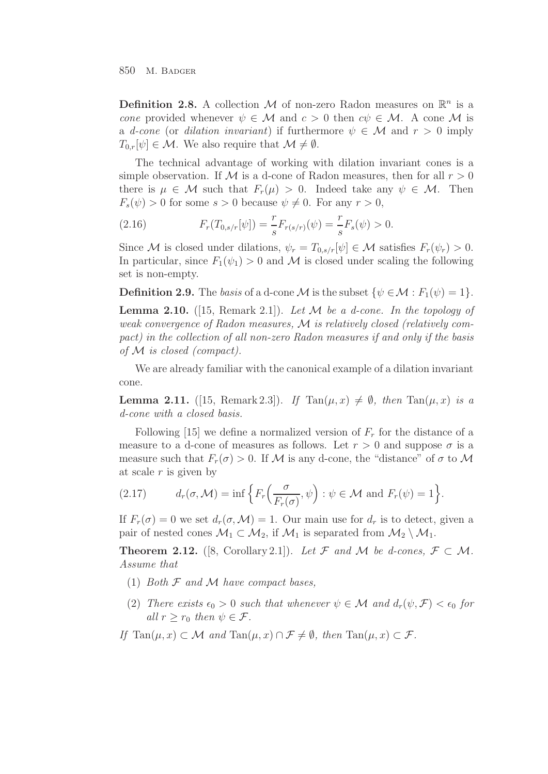**Definition 2.8.** A collection M of non-zero Radon measures on  $\mathbb{R}^n$  is a cone provided whenever  $\psi \in \mathcal{M}$  and  $c > 0$  then  $c\psi \in \mathcal{M}$ . A cone M is a d-cone (or dilation invariant) if furthermore  $\psi \in \mathcal{M}$  and  $r > 0$  imply  $T_{0,r}[\psi] \in \mathcal{M}$ . We also require that  $\mathcal{M} \neq \emptyset$ .

The technical advantage of working with dilation invariant cones is a simple observation. If M is a d-cone of Radon measures, then for all  $r > 0$ there is  $\mu \in \mathcal{M}$  such that  $F_r(\mu) > 0$ . Indeed take any  $\psi \in \mathcal{M}$ . Then  $F_s(\psi) > 0$  for some  $s > 0$  because  $\psi \neq 0$ . For any  $r > 0$ ,

(2.16) 
$$
F_r(T_{0,s/r}[\psi]) = \frac{r}{s} F_{r(s/r)}(\psi) = \frac{r}{s} F_s(\psi) > 0.
$$

Since M is closed under dilations,  $\psi_r = T_{0,s/r}[\psi] \in \mathcal{M}$  satisfies  $F_r(\psi_r) > 0$ . In particular, since  $F_1(\psi_1) > 0$  and M is closed under scaling the following set is non-empty.

**Definition 2.9.** The basis of a d-cone M is the subset  $\{\psi \in \mathcal{M} : F_1(\psi) = 1\}$ .

**Lemma 2.10.** ([15, Remark 2.1]). Let  $M$  be a d-cone. In the topology of weak convergence of Radon measures, M is relatively closed (relatively compact) in the collection of all non-zero Radon measures if and only if the basis of M is closed (compact).

We are already familiar with the canonical example of a dilation invariant cone.

**Lemma 2.11.** ([15, Remark 2.3]). If  $\text{Tan}(\mu, x) \neq \emptyset$ , then  $\text{Tan}(\mu, x)$  is a d-cone with a closed basis.

Following [15] we define a normalized version of  $F_r$  for the distance of a measure to a d-cone of measures as follows. Let  $r > 0$  and suppose  $\sigma$  is a measure such that  $F_r(\sigma) > 0$ . If M is any d-cone, the "distance" of  $\sigma$  to M at scale  $r$  is given by

(2.17) 
$$
d_r(\sigma, \mathcal{M}) = \inf \left\{ F_r\left(\frac{\sigma}{F_r(\sigma)}, \psi\right) : \psi \in \mathcal{M} \text{ and } F_r(\psi) = 1 \right\}.
$$

If  $F_r(\sigma) = 0$  we set  $d_r(\sigma, \mathcal{M}) = 1$ . Our main use for  $d_r$  is to detect, given a pair of nested cones  $\mathcal{M}_1 \subset \mathcal{M}_2$ , if  $\mathcal{M}_1$  is separated from  $\mathcal{M}_2 \setminus \mathcal{M}_1$ .

**Theorem 2.12.** ([8, Corollary 2.1]). Let F and M be d-cones,  $\mathcal{F} \subset \mathcal{M}$ . Assume that

- (1) Both  $F$  and  $M$  have compact bases,
- (2) There exists  $\epsilon_0 > 0$  such that whenever  $\psi \in \mathcal{M}$  and  $d_r(\psi, \mathcal{F}) < \epsilon_0$  for all  $r \geq r_0$  then  $\psi \in \mathcal{F}$ .
- If  $\text{Tan}(\mu, x) \subset \mathcal{M}$  and  $\text{Tan}(\mu, x) \cap \mathcal{F} \neq \emptyset$ , then  $\text{Tan}(\mu, x) \subset \mathcal{F}$ .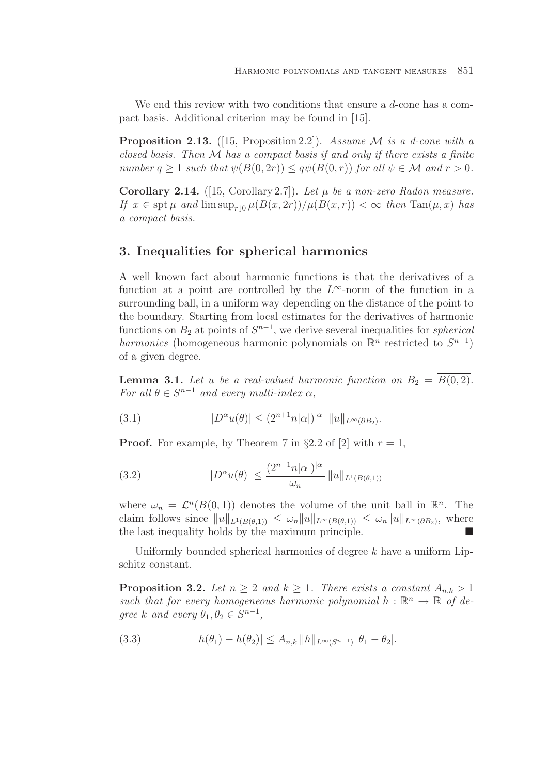We end this review with two conditions that ensure a d-cone has a compact basis. Additional criterion may be found in [15].

**Proposition 2.13.** ([15, Proposition 2.2]). Assume  $\mathcal M$  is a d-cone with a closed basis. Then  $M$  has a compact basis if and only if there exists a finite number  $q \ge 1$  such that  $\psi(B(0, 2r)) \le q\psi(B(0, r))$  for all  $\psi \in \mathcal{M}$  and  $r > 0$ .

**Corollary 2.14.** ([15, Corollary 2.7]). Let  $\mu$  be a non-zero Radon measure. If  $x \in \operatorname{spt} \mu$  and  $\limsup_{r \to 0} \mu(B(x, 2r))/\mu(B(x, r)) < \infty$  then  $\operatorname{Tan}(\mu, x)$  has a compact basis.

# **3. Inequalities for spherical harmonics**

A well known fact about harmonic functions is that the derivatives of a function at a point are controlled by the  $L^{\infty}$ -norm of the function in a surrounding ball, in a uniform way depending on the distance of the point to the boundary. Starting from local estimates for the derivatives of harmonic functions on  $B_2$  at points of  $S^{n-1}$ , we derive several inequalities for *spherical* harmonics (homogeneous harmonic polynomials on  $\mathbb{R}^n$  restricted to  $S^{n-1}$ ) of a given degree.

**Lemma 3.1.** Let u be a real-valued harmonic function on  $B_2 = B(0, 2)$ . For all  $\theta \in S^{n-1}$  and every multi-index  $\alpha$ ,

(3.1) 
$$
|D^{\alpha}u(\theta)| \le (2^{n+1}n|\alpha|)^{|\alpha|} \|u\|_{L^{\infty}(\partial B_2)}.
$$

**Proof.** For example, by Theorem 7 in §2.2 of [2] with  $r = 1$ ,

(3.2) 
$$
|D^{\alpha}u(\theta)| \leq \frac{(2^{n+1}n|\alpha|)^{|\alpha|}}{\omega_n} ||u||_{L^1(B(\theta,1))}
$$

where  $\omega_n = \mathcal{L}^n(B(0, 1))$  denotes the volume of the unit ball in  $\mathbb{R}^n$ . The claim follows since  $||u||_{L^1(B(\theta,1))} \leq \omega_n ||u||_{L^{\infty}(B(\theta,1))} \leq \omega_n ||u||_{L^{\infty}(\partial B_2)}$ , where the last inequality holds by the maximum principle. -

Uniformly bounded spherical harmonics of degree  $k$  have a uniform Lipschitz constant.

**Proposition 3.2.** Let  $n \geq 2$  and  $k \geq 1$ . There exists a constant  $A_{n,k} > 1$ such that for every homogeneous harmonic polynomial  $h : \mathbb{R}^n \to \mathbb{R}$  of degree k and every  $\theta_1, \theta_2 \in S^{n-1}$ ,

(3.3) 
$$
|h(\theta_1) - h(\theta_2)| \leq A_{n,k} ||h||_{L^{\infty}(S^{n-1})} |\theta_1 - \theta_2|.
$$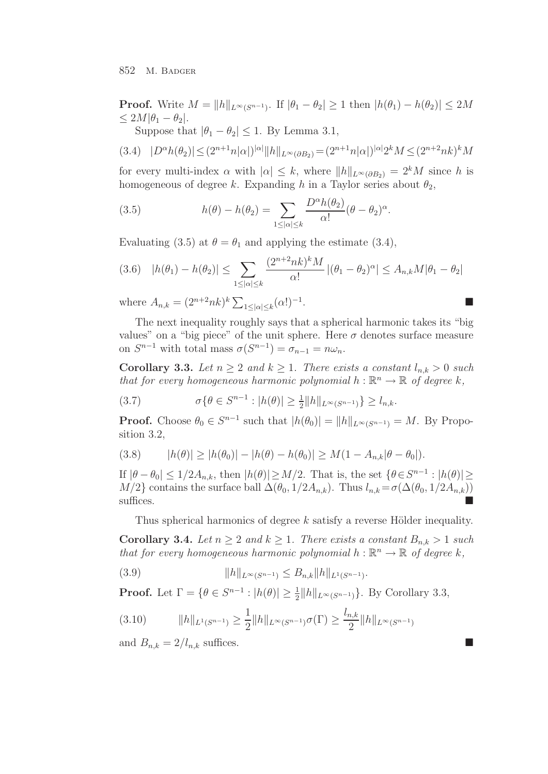**Proof.** Write  $M = ||h||_{L^{\infty}(S^{n-1})}$ . If  $|\theta_1 - \theta_2| \geq 1$  then  $|h(\theta_1) - h(\theta_2)| \leq 2M$  $\leq 2M|\theta_1-\theta_2|.$ 

Suppose that  $|\theta_1 - \theta_2| \leq 1$ . By Lemma 3.1,

$$
(3.4) \quad |D^{\alpha}h(\theta_2)| \le (2^{n+1}n|\alpha|)^{|\alpha|} ||h||_{L^{\infty}(\partial B_2)} = (2^{n+1}n|\alpha|)^{|\alpha|}2^k M \le (2^{n+2}nk)^k M
$$

for every multi-index  $\alpha$  with  $|\alpha| \leq k$ , where  $||h||_{L^{\infty}(\partial B_2)} = 2^k M$  since h is homogeneous of degree k. Expanding h in a Taylor series about  $\theta_2$ ,

(3.5) 
$$
h(\theta) - h(\theta_2) = \sum_{1 \leq |\alpha| \leq k} \frac{D^{\alpha}h(\theta_2)}{\alpha!} (\theta - \theta_2)^{\alpha}.
$$

Evaluating (3.5) at  $\theta = \theta_1$  and applying the estimate (3.4),

$$
(3.6) \quad |h(\theta_1) - h(\theta_2)| \le \sum_{1 \le |\alpha| \le k} \frac{(2^{n+2}nk)^k M}{\alpha!} \left| (\theta_1 - \theta_2)^{\alpha} \right| \le A_{n,k} M |\theta_1 - \theta_2|
$$

where  $A_{n,k} = (2^{n+2}nk)^k \sum_{1 \leq |\alpha| \leq k} (\alpha!)^{-1}$ .

The next inequality roughly says that a spherical harmonic takes its "big values" on a "big piece" of the unit sphere. Here  $\sigma$  denotes surface measure on  $S^{n-1}$  with total mass  $\sigma(S^{n-1}) = \sigma_{n-1} = n\omega_n$ .

**Corollary 3.3.** Let  $n \geq 2$  and  $k \geq 1$ . There exists a constant  $l_{n,k} > 0$  such that for every homogeneous harmonic polynomial  $h : \mathbb{R}^n \to \mathbb{R}$  of degree k,

(3.7) 
$$
\sigma \{ \theta \in S^{n-1} : |h(\theta)| \ge \frac{1}{2} ||h||_{L^{\infty}(S^{n-1})} \} \ge l_{n,k}.
$$

**Proof.** Choose  $\theta_0 \in S^{n-1}$  such that  $|h(\theta_0)| = ||h||_{L^{\infty}(S^{n-1})} = M$ . By Proposition 3.2,

(3.8) 
$$
|h(\theta)| \ge |h(\theta_0)| - |h(\theta) - h(\theta_0)| \ge M(1 - A_{n,k}|\theta - \theta_0|).
$$

If  $|\theta - \theta_0| \leq 1/2A_{n,k}$ , then  $|h(\theta)| \geq M/2$ . That is, the set  $\{\theta \in S^{n-1} : |h(\theta)| \geq$  $M/2$ } contains the surface ball  $\Delta(\theta_0, 1/2A_{n,k})$ . Thus  $l_{n,k} = \sigma(\Delta(\theta_0, 1/2A_{n,k}))$ suffices.

Thus spherical harmonics of degree  $k$  satisfy a reverse Hölder inequality.

**Corollary 3.4.** Let  $n \geq 2$  and  $k \geq 1$ . There exists a constant  $B_{n,k} > 1$  such that for every homogeneous harmonic polynomial  $h : \mathbb{R}^n \to \mathbb{R}$  of degree k,

$$
(3.9) \t\t\t ||h||_{L^{\infty}(S^{n-1})} \leq B_{n,k} ||h||_{L^{1}(S^{n-1})}.
$$

**Proof.** Let  $\Gamma = \{ \theta \in S^{n-1} : |h(\theta)| \ge \frac{1}{2} ||h||_{L^{\infty}(S^{n-1})} \}$ . By Corollary 3.3,

$$
(3.10) \t\t ||h||_{L^{1}(S^{n-1})} \ge \frac{1}{2} ||h||_{L^{\infty}(S^{n-1})} \sigma(\Gamma) \ge \frac{l_{n,k}}{2} ||h||_{L^{\infty}(S^{n-1})}
$$

and  $B_{n,k} = 2/l_{n,k}$  suffices.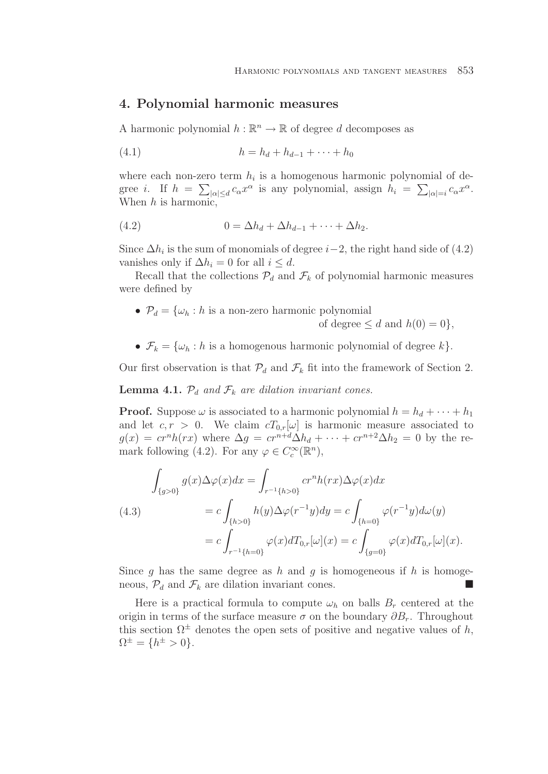## **4. Polynomial harmonic measures**

A harmonic polynomial  $h : \mathbb{R}^n \to \mathbb{R}$  of degree d decomposes as

(4.1) 
$$
h = h_d + h_{d-1} + \cdots + h_0
$$

where each non-zero term  $h_i$  is a homogenous harmonic polynomial of degree *i*. If  $h = \sum_{|\alpha| \le d} c_{\alpha} x^{\alpha}$  is any polynomial, assign  $h_i = \sum_{|\alpha|=i} c_{\alpha} x^{\alpha}$ . When  $h$  is harmonic,

$$
(4.2) \t\t 0 = \Delta h_d + \Delta h_{d-1} + \cdots + \Delta h_2.
$$

Since  $\Delta h_i$  is the sum of monomials of degree  $i-2$ , the right hand side of (4.2) vanishes only if  $\Delta h_i = 0$  for all  $i \leq d$ .

Recall that the collections  $\mathcal{P}_d$  and  $\mathcal{F}_k$  of polynomial harmonic measures were defined by

•  $\mathcal{P}_d = \{\omega_h : h \text{ is a non-zero harmonic polynomial}\}$ 

of degree  $\leq d$  and  $h(0) = 0$ .

•  $\mathcal{F}_k = {\omega_h : h$  is a homogenous harmonic polynomial of degree  $k$ .

Our first observation is that  $\mathcal{P}_d$  and  $\mathcal{F}_k$  fit into the framework of Section 2.

**Lemma 4.1.**  $\mathcal{P}_d$  and  $\mathcal{F}_k$  are dilation invariant cones.

**Proof.** Suppose  $\omega$  is associated to a harmonic polynomial  $h = h_d + \cdots + h_1$ and let  $c, r > 0$ . We claim  $cT_{0,r}[\omega]$  is harmonic measure associated to  $g(x) = cr^n h(rx)$  where  $\Delta g = cr^{n+d} \Delta h_d + \cdots + cr^{n+2} \Delta h_2 = 0$  by the remark following (4.2). For any  $\varphi \in C_c^{\infty}(\mathbb{R}^n)$ ,

$$
\int_{\{g>0\}} g(x)\Delta\varphi(x)dx = \int_{r^{-1}\{h>0\}} cr^n h(rx)\Delta\varphi(x)dx
$$
\n(4.3)\n
$$
= c \int_{\{h>0\}} h(y)\Delta\varphi(r^{-1}y)dy = c \int_{\{h=0\}} \varphi(r^{-1}y)d\omega(y)
$$
\n
$$
= c \int_{r^{-1}\{h=0\}} \varphi(x)dT_{0,r}[\omega](x) = c \int_{\{g=0\}} \varphi(x)dT_{0,r}[\omega](x).
$$

Since g has the same degree as h and g is homogeneous if h is homogeneous,  $\mathcal{P}_d$  and  $\mathcal{F}_k$  are dilation invariant cones.

Here is a practical formula to compute  $\omega_h$  on balls  $B_r$  centered at the origin in terms of the surface measure  $\sigma$  on the boundary  $\partial B_r$ . Throughout this section  $\Omega^{\pm}$  denotes the open sets of positive and negative values of h,  $\Omega^{\pm} = \{h^{\pm} > 0\}.$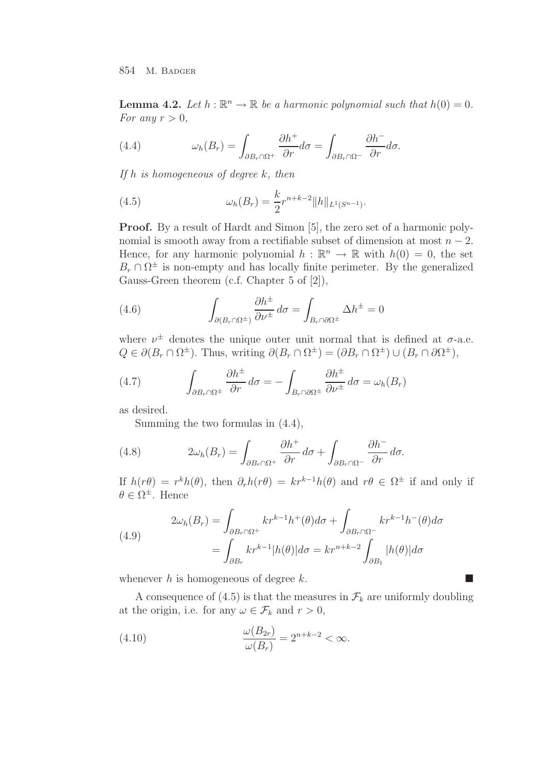**Lemma 4.2.** Let  $h : \mathbb{R}^n \to \mathbb{R}$  be a harmonic polynomial such that  $h(0) = 0$ . For any  $r > 0$ ,

(4.4) 
$$
\omega_h(B_r) = \int_{\partial B_r \cap \Omega^+} \frac{\partial h^+}{\partial r} d\sigma = \int_{\partial B_r \cap \Omega^-} \frac{\partial h^-}{\partial r} d\sigma.
$$

If  $h$  is homogeneous of degree  $k$ , then

(4.5) 
$$
\omega_h(B_r) = \frac{k}{2} r^{n+k-2} ||h||_{L^1(S^{n-1})}.
$$

**Proof.** By a result of Hardt and Simon [5], the zero set of a harmonic polynomial is smooth away from a rectifiable subset of dimension at most  $n - 2$ . Hence, for any harmonic polynomial  $h : \mathbb{R}^n \to \mathbb{R}$  with  $h(0) = 0$ , the set  $B_r \cap \Omega^{\pm}$  is non-empty and has locally finite perimeter. By the generalized Gauss-Green theorem (c.f. Chapter 5 of [2]),

(4.6) 
$$
\int_{\partial (B_r \cap \Omega^{\pm})} \frac{\partial h^{\pm}}{\partial \nu^{\pm}} d\sigma = \int_{B_r \cap \partial \Omega^{\pm}} \Delta h^{\pm} = 0
$$

where  $\nu^{\pm}$  denotes the unique outer unit normal that is defined at  $\sigma$ -a.e.  $Q \in \partial (B_r \cap \Omega^{\pm})$ . Thus, writing  $\partial (B_r \cap \Omega^{\pm}) = (\partial B_r \cap \Omega^{\pm}) \cup (B_r \cap \partial \Omega^{\pm})$ ,

(4.7) 
$$
\int_{\partial B_r \cap \Omega^{\pm}} \frac{\partial h^{\pm}}{\partial r} d\sigma = - \int_{B_r \cap \partial \Omega^{\pm}} \frac{\partial h^{\pm}}{\partial \nu^{\pm}} d\sigma = \omega_h(B_r)
$$

as desired.

Summing the two formulas in (4.4),

(4.8) 
$$
2\omega_h(B_r) = \int_{\partial B_r \cap \Omega^+} \frac{\partial h^+}{\partial r} d\sigma + \int_{\partial B_r \cap \Omega^-} \frac{\partial h^-}{\partial r} d\sigma.
$$

If  $h(r\theta) = r^k h(\theta)$ , then  $\partial_r h(r\theta) = kr^{k-1}h(\theta)$  and  $r\theta \in \Omega^{\pm}$  if and only if  $\theta \in \Omega^{\pm}$ . Hence

(4.9) 
$$
2\omega_h(B_r) = \int_{\partial B_r \cap \Omega^+} kr^{k-1}h^+(\theta)d\sigma + \int_{\partial B_r \cap \Omega^-} kr^{k-1}h^-(\theta)d\sigma = \int_{\partial B_r} kr^{k-1}|h(\theta)|d\sigma = kr^{n+k-2} \int_{\partial B_1} |h(\theta)|d\sigma
$$

whenever h is homogeneous of degree k.

A consequence of (4.5) is that the measures in  $\mathcal{F}_k$  are uniformly doubling at the origin, i.e. for any  $\omega \in \mathcal{F}_k$  and  $r > 0$ ,

(4.10) 
$$
\frac{\omega(B_{2r})}{\omega(B_r)} = 2^{n+k-2} < \infty.
$$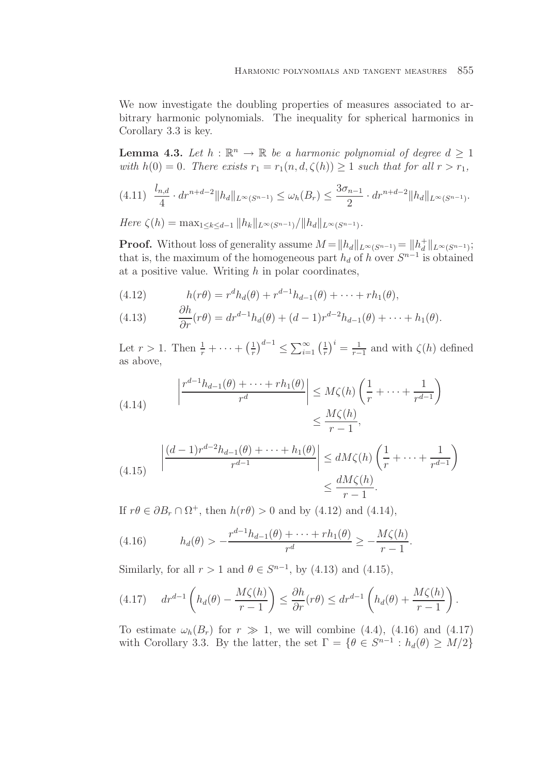We now investigate the doubling properties of measures associated to arbitrary harmonic polynomials. The inequality for spherical harmonics in Corollary 3.3 is key.

**Lemma 4.3.** Let  $h : \mathbb{R}^n \to \mathbb{R}$  be a harmonic polynomial of degree  $d \geq 1$ with  $h(0) = 0$ . There exists  $r_1 = r_1(n, d, \zeta(h)) \geq 1$  such that for all  $r > r_1$ ,

$$
(4.11) \frac{l_{n,d}}{4} \cdot dr^{n+d-2} \|h_d\|_{L^{\infty}(S^{n-1})} \le \omega_h(B_r) \le \frac{3\sigma_{n-1}}{2} \cdot dr^{n+d-2} \|h_d\|_{L^{\infty}(S^{n-1})}.
$$

Here  $\zeta(h) = \max_{1 \leq k \leq d-1} ||h_k||_{L^{\infty}(S^{n-1})}/||h_d||_{L^{\infty}(S^{n-1})}.$ 

**Proof.** Without loss of generality assume  $M = ||h_d||_{L^{\infty}(S^{n-1})} = ||h_d^+||_{L^{\infty}(S^{n-1})};$ that is, the maximum of the homogeneous part  $h_d$  of h over  $S^{n-1}$  is obtained at a positive value. Writing  $h$  in polar coordinates,

(4.12) 
$$
h(r\theta) = r^d h_d(\theta) + r^{d-1} h_{d-1}(\theta) + \dots + rh_1(\theta),
$$

(4.13) 
$$
\frac{\partial h}{\partial r}(r\theta) = dr^{d-1}h_d(\theta) + (d-1)r^{d-2}h_{d-1}(\theta) + \cdots + h_1(\theta).
$$

Let  $r > 1$ . Then  $\frac{1}{r} + \cdots + \left(\frac{1}{r}\right)^{d-1} \leq \sum_{i=1}^{\infty} \left(\frac{1}{r}\right)^i = \frac{1}{r-1}$  and with  $\zeta(h)$  defined as above,

(4.14) 
$$
\left| \frac{r^{d-1}h_{d-1}(\theta) + \dots + rh_1(\theta)}{r^d} \right| \leq M\zeta(h)\left(\frac{1}{r} + \dots + \frac{1}{r^{d-1}}\right) \leq \frac{M\zeta(h)}{r-1},
$$

$$
(4.15) \qquad \left| \frac{(d-1)r^{d-2}h_{d-1}(\theta) + \dots + h_1(\theta)}{r^{d-1}} \right| \le dM\zeta(h)\left(\frac{1}{r} + \dots + \frac{1}{r^{d-1}}\right) \le \frac{dM\zeta(h)}{r-1}.
$$

If  $r\theta \in \partial B_r \cap \Omega^+$ , then  $h(r\theta) > 0$  and by (4.12) and (4.14),

(4.16) 
$$
h_d(\theta) > -\frac{r^{d-1}h_{d-1}(\theta) + \dots + rh_1(\theta)}{r^d} \ge -\frac{M\zeta(h)}{r-1}.
$$

Similarly, for all  $r > 1$  and  $\theta \in S^{n-1}$ , by (4.13) and (4.15),

$$
(4.17) \t dr^{d-1} \left( h_d(\theta) - \frac{M\zeta(h)}{r-1} \right) \leq \frac{\partial h}{\partial r}(r\theta) \leq dr^{d-1} \left( h_d(\theta) + \frac{M\zeta(h)}{r-1} \right).
$$

To estimate  $\omega_h(B_r)$  for  $r \gg 1$ , we will combine (4.4), (4.16) and (4.17) with Corollary 3.3. By the latter, the set  $\Gamma = \{ \theta \in S^{n-1} : h_d(\theta) \geq M/2 \}$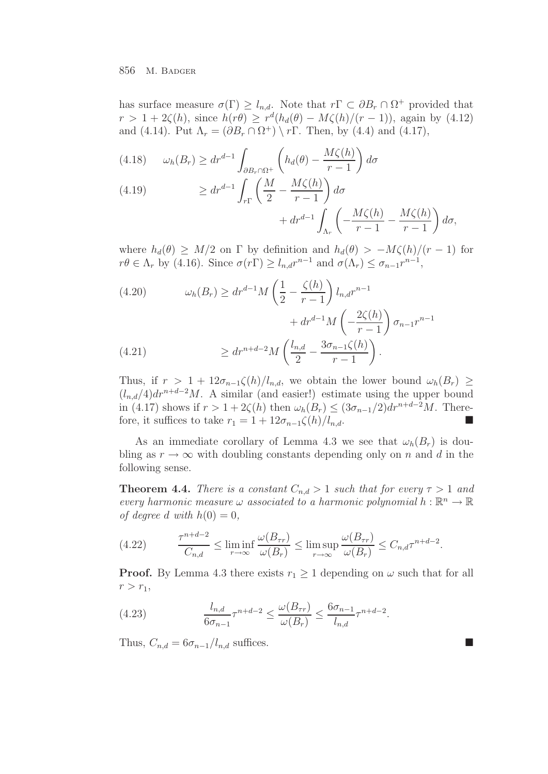has surface measure  $\sigma(\Gamma) \geq l_{n,d}$ . Note that  $r \Gamma \subset \partial B_r \cap \Omega^+$  provided that  $r > 1+2\zeta(h)$ , since  $h(r\theta) \geq r^d(h_d(\theta) - M\zeta(h)/(r-1))$ , again by (4.12) and (4.14). Put  $\Lambda_r = (\partial B_r \cap \Omega^+) \setminus r\Gamma$ . Then, by (4.4) and (4.17),

$$
(4.18) \qquad \omega_h(B_r) \ge dr^{d-1} \int_{\partial B_r \cap \Omega^+} \left( h_d(\theta) - \frac{M\zeta(h)}{r-1} \right) d\sigma
$$
\n
$$
(4.19) \qquad \qquad \therefore \quad d^{-1} \int_{\Omega} \int_{\Omega} M \, M\zeta(h) \, d\theta
$$

(4.19) 
$$
\geq dr^{d-1} \int_{r\Gamma} \left( \frac{M}{2} - \frac{M\zeta(h)}{r-1} \right) d\sigma + dr^{d-1} \int_{\Lambda_r} \left( -\frac{M\zeta(h)}{r-1} - \frac{M\zeta(h)}{r-1} \right) d\sigma,
$$

where  $h_d(\theta) \geq M/2$  on  $\Gamma$  by definition and  $h_d(\theta) > -M\zeta(h)/(r-1)$  for  $r\theta \in \Lambda_r$  by (4.16). Since  $\sigma(r\Gamma) \geq l_{n,d}r^{n-1}$  and  $\sigma(\Lambda_r) \leq \sigma_{n-1}r^{n-1}$ ,

(4.20) 
$$
\omega_h(B_r) \geq dr^{d-1} M \left( \frac{1}{2} - \frac{\zeta(h)}{r-1} \right) l_{n,d} r^{n-1} + dr^{d-1} M \left( -\frac{2\zeta(h)}{r-1} \right) \sigma_{n-1} r^{n-1} \geq dr^{n+d-2} M \left( \frac{l_{n,d}}{2} - \frac{3\sigma_{n-1}\zeta(h)}{r-1} \right).
$$

Thus, if  $r > 1 + 12\sigma_{n-1}\zeta(h)/l_{n,d}$ , we obtain the lower bound  $\omega_h(B_r) \geq$  $(l_{n,d}/4)dr^{n+d-2}M$ . A similar (and easier!) estimate using the upper bound in (4.17) shows if  $r > 1+2\zeta(h)$  then  $\omega_h(B_r) \leq (3\sigma_{n-1}/2)dr^{n+d-2}M$ . Therefore, it suffices to take  $r_1 = 1 + 12\sigma_{n-1}\zeta(h)/l_{n,d}$ .

As an immediate corollary of Lemma 4.3 we see that  $\omega_h(B_r)$  is doubling as  $r \to \infty$  with doubling constants depending only on n and d in the following sense.

**Theorem 4.4.** There is a constant  $C_{n,d} > 1$  such that for every  $\tau > 1$  and every harmonic measure  $\omega$  associated to a harmonic polynomial  $h : \mathbb{R}^n \to \mathbb{R}$ of degree d with  $h(0) = 0$ ,

(4.22) 
$$
\frac{\tau^{n+d-2}}{C_{n,d}} \leq \liminf_{r \to \infty} \frac{\omega(B_{\tau r})}{\omega(B_r)} \leq \limsup_{r \to \infty} \frac{\omega(B_{\tau r})}{\omega(B_r)} \leq C_{n,d} \tau^{n+d-2}.
$$

**Proof.** By Lemma 4.3 there exists  $r_1 \geq 1$  depending on  $\omega$  such that for all  $r>r_1,$ 

(4.23) 
$$
\frac{l_{n,d}}{6\sigma_{n-1}}\tau^{n+d-2} \le \frac{\omega(B_{\tau r})}{\omega(B_r)} \le \frac{6\sigma_{n-1}}{l_{n,d}}\tau^{n+d-2}.
$$

Thus,  $C_{n,d} = 6\sigma_{n-1}/l_{n,d}$  suffices.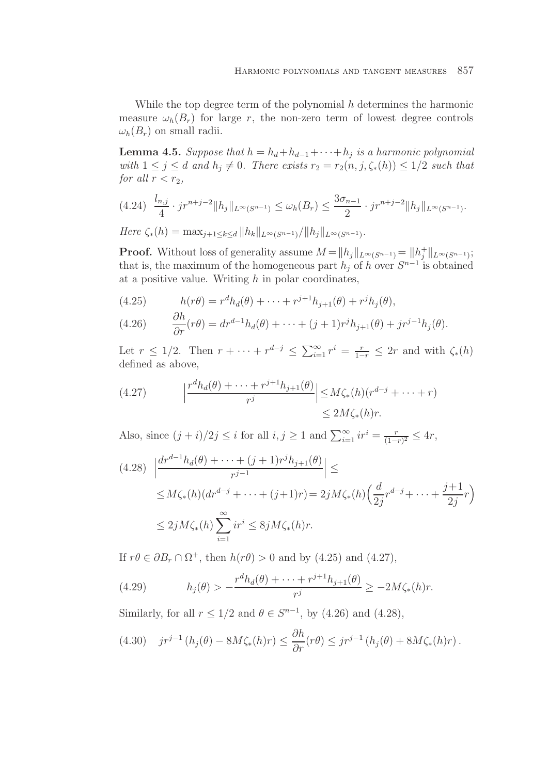While the top degree term of the polynomial  $h$  determines the harmonic measure  $\omega_h(B_r)$  for large r, the non-zero term of lowest degree controls  $\omega_h(B_r)$  on small radii.

**Lemma 4.5.** Suppose that  $h = h_d + h_{d-1} + \cdots + h_j$  is a harmonic polynomial with  $1 \leq j \leq d$  and  $h_j \neq 0$ . There exists  $r_2 = r_2(n, j, \zeta_*(h)) \leq 1/2$  such that for all  $r < r_2$ ,

$$
(4.24) \frac{l_{n,j}}{4} \cdot j r^{n+j-2} \|h_j\|_{L^{\infty}(S^{n-1})} \le \omega_h(B_r) \le \frac{3\sigma_{n-1}}{2} \cdot j r^{n+j-2} \|h_j\|_{L^{\infty}(S^{n-1})}.
$$

 $Here \zeta_*(h) = \max_{i+1 \leq k \leq d} ||h_k||_{L^{\infty}(S^{n-1})}/||h_i||_{L^{\infty}(S^{n-1})}.$ 

**Proof.** Without loss of generality assume  $M = ||h_j||_{L^{\infty}(S^{n-1})} = ||h_j^+||_{L^{\infty}(S^{n-1})};$ that is, the maximum of the homogeneous part  $h_j$  of h over  $S^{n-1}$  is obtained at a positive value. Writing  $h$  in polar coordinates,

(4.25) 
$$
h(r\theta) = r^d h_d(\theta) + \dots + r^{j+1} h_{j+1}(\theta) + r^j h_j(\theta),
$$

(4.26) 
$$
\frac{\partial h}{\partial r}(r\theta) = dr^{d-1}h_d(\theta) + \cdots + (j+1)r^jh_{j+1}(\theta) + jr^{j-1}h_j(\theta).
$$

Let  $r \leq 1/2$ . Then  $r + \cdots + r^{d-j} \leq \sum_{i=1}^{\infty} r^i = \frac{r}{1-r} \leq 2r$  and with  $\zeta_*(h)$ defined as above,

(4.27) 
$$
\left| \frac{r^d h_d(\theta) + \dots + r^{j+1} h_{j+1}(\theta)}{r^j} \right| \leq M \zeta_*(h) (r^{d-j} + \dots + r)
$$

$$
\leq 2M \zeta_*(h) r.
$$

Also, since  $(j+i)/2j \leq i$  for all  $i, j \geq 1$  and  $\sum_{i=1}^{\infty} ir^i = \frac{r}{(1-r)^2} \leq 4r$ ,

$$
(4.28) \left| \frac{dr^{d-1}h_d(\theta) + \dots + (j+1)r^jh_{j+1}(\theta)}{r^{j-1}} \right| \le
$$
  
 
$$
\leq M\zeta_*(h)(dr^{d-j} + \dots + (j+1)r) = 2jM\zeta_*(h)\left(\frac{d}{2j}r^{d-j} + \dots + \frac{j+1}{2j}r\right)
$$
  
 
$$
\leq 2jM\zeta_*(h)\sum_{i=1}^{\infty}ir^i \leq 8jM\zeta_*(h)r.
$$

If  $r\theta \in \partial B_r \cap \Omega^+$ , then  $h(r\theta) > 0$  and by (4.25) and (4.27),

(4.29) 
$$
h_j(\theta) > -\frac{r^d h_d(\theta) + \dots + r^{j+1} h_{j+1}(\theta)}{r^j} \ge -2M\zeta_*(h)r.
$$

Similarly, for all  $r \leq 1/2$  and  $\theta \in S^{n-1}$ , by (4.26) and (4.28),

$$
(4.30) \quad j r^{j-1} \left( h_j(\theta) - 8M \zeta_*(h) r \right) \leq \frac{\partial h}{\partial r} (r\theta) \leq j r^{j-1} \left( h_j(\theta) + 8M \zeta_*(h) r \right).
$$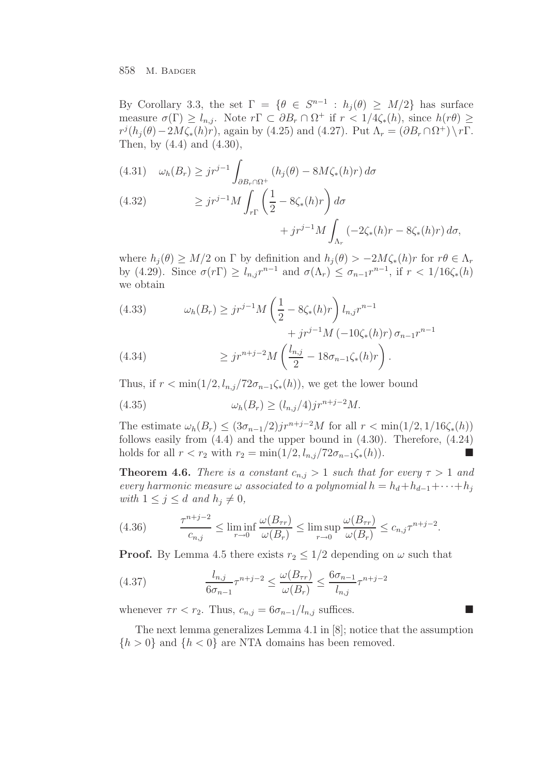By Corollary 3.3, the set  $\Gamma = \{ \theta \in S^{n-1} : h_i(\theta) \geq M/2 \}$  has surface measure  $\sigma(\Gamma) \geq l_{n,j}$ . Note  $r \Gamma \subset \partial B_r \cap \Omega^+$  if  $r < 1/4 \zeta_*(h)$ , since  $h(r\theta) \geq$  $r^{j}(h_{j}(\theta)-2M\zeta_{*}(h)r)$ , again by (4.25) and (4.27). Put  $\Lambda_{r}=(\partial B_{r}\cap\Omega^{+})\setminus r\Gamma$ . Then, by (4.4) and (4.30),

(4.31) 
$$
\omega_h(B_r) \ge j r^{j-1} \int_{\partial B_r \cap \Omega^+} (h_j(\theta) - 8M\zeta_*(h)r) d\sigma
$$
  
(4.32) 
$$
\ge j r^{j-1} M \int_{r\Gamma} \left(\frac{1}{2} - 8\zeta_*(h)r\right) d\sigma + j r^{j-1} M \int_{\Lambda_r} (-2\zeta_*(h)r - 8\zeta_*(h)r) d\sigma,
$$

where  $h_i(\theta) \geq M/2$  on  $\Gamma$  by definition and  $h_i(\theta) > -2M\zeta_*(h)r$  for  $r\theta \in \Lambda_r$ by (4.29). Since  $\sigma(r\Gamma) \geq l_{n,j}r^{n-1}$  and  $\sigma(\Lambda_r) \leq \sigma_{n-1}r^{n-1}$ , if  $r < 1/16\zeta_*(h)$ we obtain

(4.33) 
$$
\omega_h(B_r) \geq j r^{j-1} M \left( \frac{1}{2} - 8\zeta_*(h) r \right) l_{n,j} r^{n-1} + j r^{j-1} M \left( -10\zeta_*(h) r \right) \sigma_{n-1} r^{n-1}
$$

(4.34) 
$$
\geq j r^{n+j-2} M \left( \frac{l_{n,j}}{2} - 18 \sigma_{n-1} \zeta_*(h) r \right).
$$

Thus, if  $r < \min(1/2, l_{n,j}/72\sigma_{n-1}\zeta_*(h))$ , we get the lower bound

$$
(4.35) \qquad \qquad \omega_h(B_r) \ge (l_{n,j}/4)jr^{n+j-2}M.
$$

The estimate  $\omega_h(B_r) \leq (3\sigma_{n-1}/2)j r^{n+j-2}M$  for all  $r < \min(1/2, 1/16\zeta_*(h))$ follows easily from  $(4.4)$  and the upper bound in  $(4.30)$ . Therefore,  $(4.24)$ holds for all  $r < r_2$  with  $r_2 = \min(1/2, l_{n,j}/72\sigma_{n-1}\zeta_*(h)).$ 

**Theorem 4.6.** There is a constant  $c_{n,j} > 1$  such that for every  $\tau > 1$  and every harmonic measure  $\omega$  associated to a polynomial  $h = h_d + h_{d-1} + \cdots + h_j$ with  $1 \leq j \leq d$  and  $h_j \neq 0$ ,

(4.36) 
$$
\frac{\tau^{n+j-2}}{c_{n,j}} \leq \liminf_{r \to 0} \frac{\omega(B_{\tau r})}{\omega(B_r)} \leq \limsup_{r \to 0} \frac{\omega(B_{\tau r})}{\omega(B_r)} \leq c_{n,j} \tau^{n+j-2}.
$$

**Proof.** By Lemma 4.5 there exists  $r_2 \leq 1/2$  depending on  $\omega$  such that

(4.37) 
$$
\frac{l_{n,j}}{6\sigma_{n-1}}\tau^{n+j-2} \leq \frac{\omega(B_{\tau r})}{\omega(B_r)} \leq \frac{6\sigma_{n-1}}{l_{n,j}}\tau^{n+j-2}
$$

whenever  $\tau r < r_2$ . Thus,  $c_{n,j} = 6\sigma_{n-1}/l_{n,j}$  suffices.

The next lemma generalizes Lemma 4.1 in [8]; notice that the assumption  ${h > 0}$  and  ${h < 0}$  are NTA domains has been removed.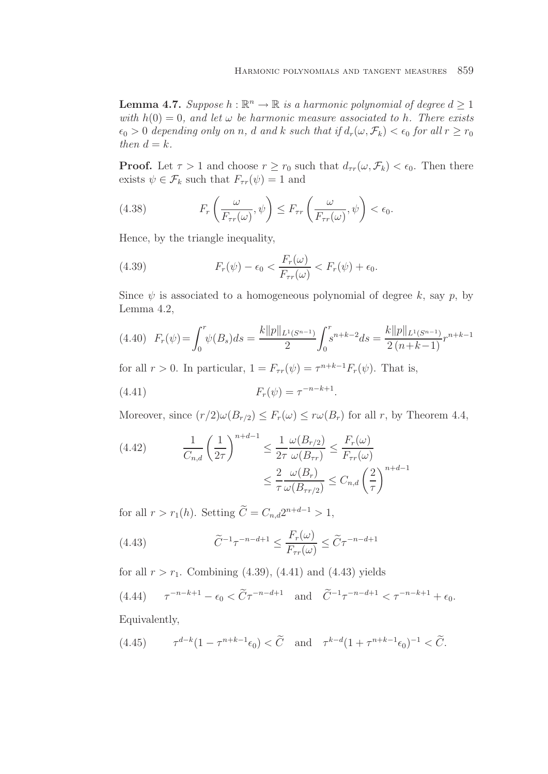**Lemma 4.7.** Suppose  $h : \mathbb{R}^n \to \mathbb{R}$  is a harmonic polynomial of degree  $d \geq 1$ with  $h(0) = 0$ , and let  $\omega$  be harmonic measure associated to h. There exists  $\epsilon_0 > 0$  depending only on n, d and k such that if  $d_r(\omega, \mathcal{F}_k) < \epsilon_0$  for all  $r \geq r_0$ then  $d = k$ .

**Proof.** Let  $\tau > 1$  and choose  $r \geq r_0$  such that  $d_{\tau r}(\omega, \mathcal{F}_k) < \epsilon_0$ . Then there exists  $\psi \in \mathcal{F}_k$  such that  $F_{\tau r}(\psi) = 1$  and

(4.38) 
$$
F_r\left(\frac{\omega}{F_{\tau r}(\omega)},\psi\right) \leq F_{\tau r}\left(\frac{\omega}{F_{\tau r}(\omega)},\psi\right) < \epsilon_0.
$$

Hence, by the triangle inequality,

(4.39) 
$$
F_r(\psi) - \epsilon_0 < \frac{F_r(\omega)}{F_{\tau r}(\omega)} < F_r(\psi) + \epsilon_0.
$$

Since  $\psi$  is associated to a homogeneous polynomial of degree k, say p, by Lemma 4.2,

$$
(4.40)\ \ F_r(\psi) = \int_0^r \psi(B_s)ds = \frac{k||p||_{L^1(S^{n-1})}}{2} \int_0^r s^{n+k-2}ds = \frac{k||p||_{L^1(S^{n-1})}}{2(n+k-1)} r^{n+k-1}
$$

for all  $r > 0$ . In particular,  $1 = F_{\tau r}(\psi) = \tau^{n+k-1} F_r(\psi)$ . That is,

(4.41) 
$$
F_r(\psi) = \tau^{-n-k+1}.
$$

Moreover, since  $(r/2)\omega(B_{r/2}) \leq F_r(\omega) \leq r\omega(B_r)$  for all r, by Theorem 4.4,

(4.42) 
$$
\frac{1}{C_{n,d}} \left(\frac{1}{2\tau}\right)^{n+d-1} \le \frac{1}{2\tau} \frac{\omega(B_{r/2})}{\omega(B_{rr})} \le \frac{F_r(\omega)}{F_{\tau r}(\omega)}
$$

$$
\le \frac{2}{\tau} \frac{\omega(B_r)}{\omega(B_{\tau r/2})} \le C_{n,d} \left(\frac{2}{\tau}\right)^{n+d-1}
$$

for all  $r > r_1(h)$ . Setting  $\widetilde{C} = C_{n,d}2^{n+d-1} > 1$ ,

(4.43) 
$$
\widetilde{C}^{-1}\tau^{-n-d+1} \leq \frac{F_r(\omega)}{F_{\tau r}(\omega)} \leq \widetilde{C}\tau^{-n-d+1}
$$

for all  $r>r_1$ . Combining (4.39), (4.41) and (4.43) yields

(4.44) 
$$
\tau^{-n-k+1} - \epsilon_0 < \widetilde{C} \tau^{-n-d+1}
$$
 and  $\widetilde{C}^{-1} \tau^{-n-d+1} < \tau^{-n-k+1} + \epsilon_0$ .

Equivalently,

(4.45) 
$$
\tau^{d-k}(1-\tau^{n+k-1}\epsilon_0) < \widetilde{C} \quad \text{and} \quad \tau^{k-d}(1+\tau^{n+k-1}\epsilon_0)^{-1} < \widetilde{C}.
$$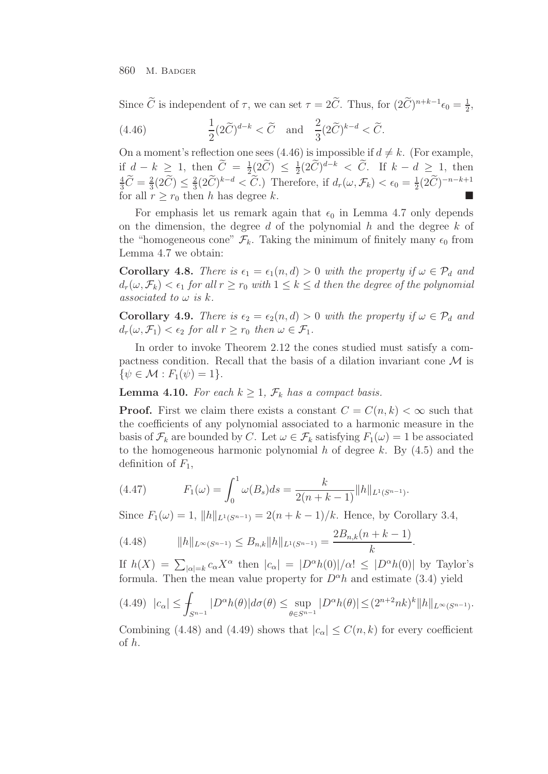Since  $\hat{C}$  is independent of  $\tau$ , we can set  $\tau = 2\hat{C}$ . Thus, for  $(2\hat{C})^{n+k-1}\epsilon_0 = \frac{1}{2}$ ,

(4.46) 
$$
\frac{1}{2}(2\widetilde{C})^{d-k} < \widetilde{C} \text{ and } \frac{2}{3}(2\widetilde{C})^{k-d} < \widetilde{C}.
$$

On a moment's reflection one sees (4.46) is impossible if  $d \neq k$ . (For example, if  $d - k \ge 1$ , then  $\widetilde{C} = \frac{1}{2} (2\widetilde{C}) \le \frac{1}{2} (2\widetilde{C})^{d-k} < \widetilde{C}$ . If  $k - d \ge 1$ , then  $\frac{4}{3}\widetilde{C} = \frac{2}{3} (2\widetilde{C}) \le \frac{2}{3} (2\widetilde{C})^{k-d} < \widetilde{C}$ .) Therefore, if  $d_r(\omega, \mathcal{F}_k) < \epsilon_0 = \frac{1}{2} (2\widetilde{C})^{-n-k+1}$ for all  $r \geq r_0$  then h has degree k.

For emphasis let us remark again that  $\epsilon_0$  in Lemma 4.7 only depends on the dimension, the degree  $d$  of the polynomial  $h$  and the degree  $k$  of the "homogeneous cone"  $\mathcal{F}_k$ . Taking the minimum of finitely many  $\epsilon_0$  from Lemma 4.7 we obtain:

**Corollary 4.8.** There is  $\epsilon_1 = \epsilon_1(n, d) > 0$  with the property if  $\omega \in \mathcal{P}_d$  and  $d_r(\omega, \mathcal{F}_k) < \epsilon_1$  for all  $r \geq r_0$  with  $1 \leq k \leq d$  then the degree of the polynomial associated to  $\omega$  is  $k$ .

**Corollary 4.9.** There is  $\epsilon_2 = \epsilon_2(n, d) > 0$  with the property if  $\omega \in \mathcal{P}_d$  and  $d_r(\omega, \mathcal{F}_1) < \epsilon_2$  for all  $r > r_0$  then  $\omega \in \mathcal{F}_1$ .

In order to invoke Theorem 2.12 the cones studied must satisfy a compactness condition. Recall that the basis of a dilation invariant cone  $\mathcal M$  is  $\{\psi \in \mathcal{M} : F_1(\psi)=1\}.$ 

**Lemma 4.10.** For each  $k \geq 1$ ,  $\mathcal{F}_k$  has a compact basis.

**Proof.** First we claim there exists a constant  $C = C(n, k) < \infty$  such that the coefficients of any polynomial associated to a harmonic measure in the basis of  $\mathcal{F}_k$  are bounded by C. Let  $\omega \in \mathcal{F}_k$  satisfying  $F_1(\omega) = 1$  be associated to the homogeneous harmonic polynomial  $h$  of degree  $k$ . By  $(4.5)$  and the definition of  $F_1$ ,

(4.47) 
$$
F_1(\omega) = \int_0^1 \omega(B_s)ds = \frac{k}{2(n+k-1)}||h||_{L^1(S^{n-1})}.
$$

Since  $F_1(\omega) = 1$ ,  $||h||_{L^1(S^{n-1})} = 2(n+k-1)/k$ . Hence, by Corollary 3.4,

$$
(4.48) \t\t ||h||_{L^{\infty}(S^{n-1})} \leq B_{n,k}||h||_{L^{1}(S^{n-1})} = \frac{2B_{n,k}(n+k-1)}{k}.
$$

If  $h(X) = \sum_{|\alpha|=k} c_{\alpha} X^{\alpha}$  then  $|c_{\alpha}| = |D^{\alpha} h(0)|/\alpha! \leq |D^{\alpha} h(0)|$  by Taylor's formula. Then the mean value property for  $D^{\alpha}h$  and estimate (3.4) yield

$$
(4.49) \ \ |c_{\alpha}| \leq \int_{S^{n-1}} |D^{\alpha}h(\theta)| d\sigma(\theta) \leq \sup_{\theta \in S^{n-1}} |D^{\alpha}h(\theta)| \leq (2^{n+2}nk)^k \|h\|_{L^{\infty}(S^{n-1})}.
$$

Combining (4.48) and (4.49) shows that  $|c_{\alpha}| \leq C(n, k)$  for every coefficient of h.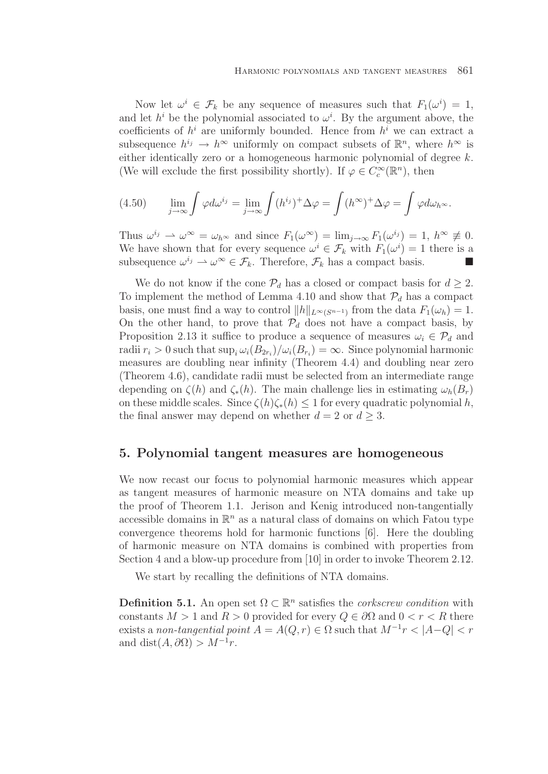Now let  $\omega^i \in \mathcal{F}_k$  be any sequence of measures such that  $F_1(\omega^i) = 1$ , and let  $h^i$  be the polynomial associated to  $\omega^i$ . By the argument above, the coefficients of  $h^i$  are uniformly bounded. Hence from  $h^i$  we can extract a subsequence  $h^{i_j} \to h^{\infty}$  uniformly on compact subsets of  $\mathbb{R}^n$ , where  $h^{\infty}$  is either identically zero or a homogeneous harmonic polynomial of degree k. (We will exclude the first possibility shortly). If  $\varphi \in C_c^{\infty}(\mathbb{R}^n)$ , then

(4.50) 
$$
\lim_{j \to \infty} \int \varphi d\omega^{i_j} = \lim_{j \to \infty} \int (h^{i_j})^+ \Delta \varphi = \int (h^{\infty})^+ \Delta \varphi = \int \varphi d\omega_{h^{\infty}}.
$$

Thus  $\omega^{i_j} \rightharpoonup \omega^{\infty} = \omega_{h^{\infty}}$  and since  $F_1(\omega^{\infty}) = \lim_{j \to \infty} F_1(\omega^{i_j}) = 1, h^{\infty} \not\equiv 0.$ We have shown that for every sequence  $\omega^i \in \mathcal{F}_k$  with  $F_1(\omega^i) = 1$  there is a subsequence  $\omega^{i_j} \to \omega^{\infty} \in \mathcal{F}_k$ . Therefore,  $\mathcal{F}_k$  has a compact basis.

We do not know if the cone  $\mathcal{P}_d$  has a closed or compact basis for  $d \geq 2$ . To implement the method of Lemma 4.10 and show that  $\mathcal{P}_d$  has a compact basis, one must find a way to control  $||h||_{L^{\infty}(S^{n-1})}$  from the data  $F_1(\omega_h) = 1$ . On the other hand, to prove that  $P_d$  does not have a compact basis, by Proposition 2.13 it suffice to produce a sequence of measures  $\omega_i \in \mathcal{P}_d$  and radii  $r_i > 0$  such that  $\sup_i \omega_i(B_{2r_i})/\omega_i(B_{r_i}) = \infty$ . Since polynomial harmonic measures are doubling near infinity (Theorem 4.4) and doubling near zero (Theorem 4.6), candidate radii must be selected from an intermediate range depending on  $\zeta(h)$  and  $\zeta_*(h)$ . The main challenge lies in estimating  $\omega_h(B_r)$ on these middle scales. Since  $\zeta(h)\zeta_*(h) \leq 1$  for every quadratic polynomial h, the final answer may depend on whether  $d = 2$  or  $d \geq 3$ .

### **5. Polynomial tangent measures are homogeneous**

We now recast our focus to polynomial harmonic measures which appear as tangent measures of harmonic measure on NTA domains and take up the proof of Theorem 1.1. Jerison and Kenig introduced non-tangentially accessible domains in  $\mathbb{R}^n$  as a natural class of domains on which Fatou type convergence theorems hold for harmonic functions [6]. Here the doubling of harmonic measure on NTA domains is combined with properties from Section 4 and a blow-up procedure from [10] in order to invoke Theorem 2.12.

We start by recalling the definitions of NTA domains.

**Definition 5.1.** An open set  $\Omega \subset \mathbb{R}^n$  satisfies the *corkscrew condition* with constants  $M > 1$  and  $R > 0$  provided for every  $Q \in \partial\Omega$  and  $0 < r < R$  there exists a non-tangential point  $A = A(Q, r) \in \Omega$  such that  $M^{-1}r < |A-Q| < r$ and dist $(A, \partial \Omega) > M^{-1}r$ .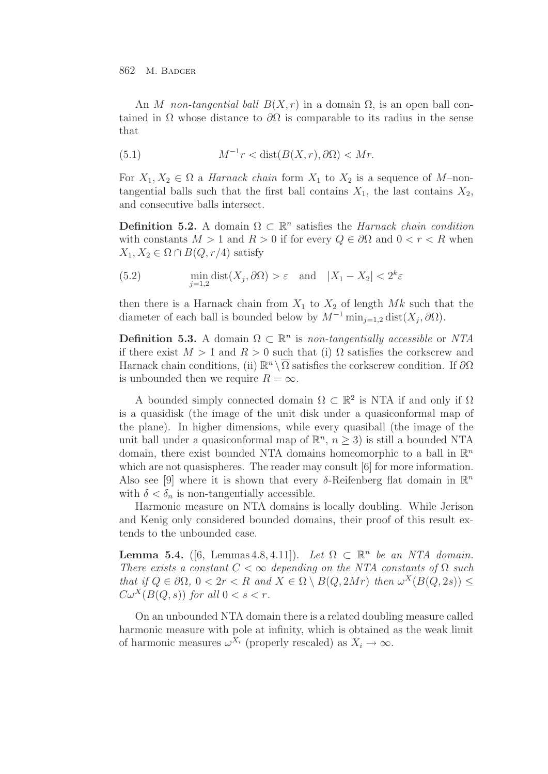An M–non-tangential ball  $B(X, r)$  in a domain  $\Omega$ , is an open ball contained in  $\Omega$  whose distance to  $\partial\Omega$  is comparable to its radius in the sense that

(5.1) 
$$
M^{-1}r < \text{dist}(B(X,r),\partial\Omega) < Mr.
$$

For  $X_1, X_2 \in \Omega$  a *Harnack chain* form  $X_1$  to  $X_2$  is a sequence of M-nontangential balls such that the first ball contains  $X_1$ , the last contains  $X_2$ , and consecutive balls intersect.

**Definition 5.2.** A domain  $\Omega \subset \mathbb{R}^n$  satisfies the *Harnack chain condition* with constants  $M > 1$  and  $R > 0$  if for every  $Q \in \partial \Omega$  and  $0 < r < R$  when  $X_1, X_2 \in \Omega \cap B(Q, r/4)$  satisfy

(5.2) 
$$
\min_{j=1,2} \text{dist}(X_j, \partial \Omega) > \varepsilon \quad \text{and} \quad |X_1 - X_2| < 2^k \varepsilon
$$

then there is a Harnack chain from  $X_1$  to  $X_2$  of length  $Mk$  such that the diameter of each ball is bounded below by  $M^{-1} \min_{i=1,2} \text{dist}(X_i, \partial \Omega)$ .

**Definition 5.3.** A domain  $\Omega \subset \mathbb{R}^n$  is non-tangentially accessible or NTA if there exist  $M > 1$  and  $R > 0$  such that (i)  $\Omega$  satisfies the corkscrew and Harnack chain conditions, (ii)  $\mathbb{R}^n \setminus \overline{\Omega}$  satisfies the corkscrew condition. If  $\partial \Omega$ is unbounded then we require  $R = \infty$ .

A bounded simply connected domain  $\Omega \subset \mathbb{R}^2$  is NTA if and only if  $\Omega$ is a quasidisk (the image of the unit disk under a quasiconformal map of the plane). In higher dimensions, while every quasiball (the image of the unit ball under a quasiconformal map of  $\mathbb{R}^n$ ,  $n > 3$ ) is still a bounded NTA domain, there exist bounded NTA domains homeomorphic to a ball in  $\mathbb{R}^n$ which are not quasispheres. The reader may consult [6] for more information. Also see [9] where it is shown that every  $\delta$ -Reifenberg flat domain in  $\mathbb{R}^n$ with  $\delta < \delta_n$  is non-tangentially accessible.

Harmonic measure on NTA domains is locally doubling. While Jerison and Kenig only considered bounded domains, their proof of this result extends to the unbounded case.

**Lemma 5.4.** ([6, Lemmas 4.8, 4.11]). Let  $\Omega \subset \mathbb{R}^n$  be an NTA domain. There exists a constant  $C < \infty$  depending on the NTA constants of  $\Omega$  such that if  $Q \in \partial \Omega$ ,  $0 < 2r < R$  and  $X \in \Omega \setminus B(Q, 2Mr)$  then  $\omega^X(B(Q, 2s)) \leq$  $C\omega^X(B(Q, s))$  for all  $0 < s < r$ .

On an unbounded NTA domain there is a related doubling measure called harmonic measure with pole at infinity, which is obtained as the weak limit of harmonic measures  $\omega^{\bar{X}_i}$  (properly rescaled) as  $X_i \to \infty$ .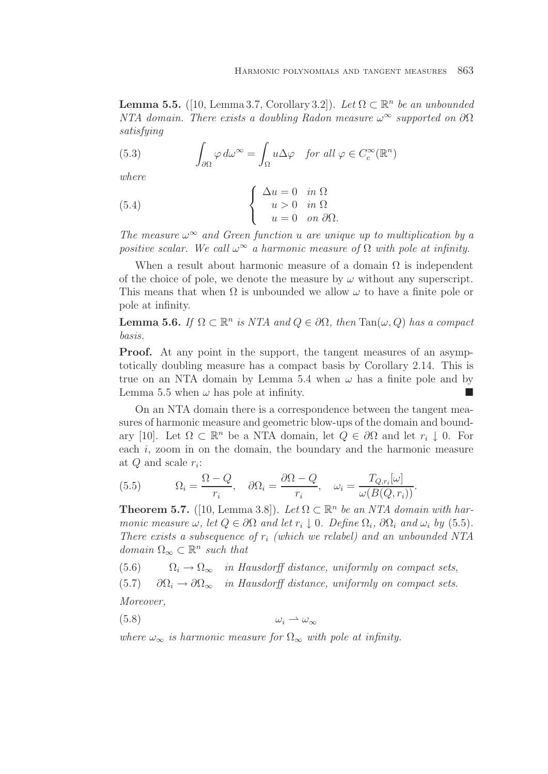**Lemma 5.5.** ([10, Lemma 3.7, Corollary 3.2]). Let  $\Omega \subset \mathbb{R}^n$  be an unbounded NTA domain. There exists a doubling Radon measure  $\omega^{\infty}$  supported on  $\partial\Omega$ satisfying

(5.3) 
$$
\int_{\partial\Omega} \varphi \, d\omega^{\infty} = \int_{\Omega} u \Delta \varphi \quad \text{for all } \varphi \in C_c^{\infty}(\mathbb{R}^n)
$$

where

(5.4) 
$$
\begin{cases} \Delta u = 0 & \text{in } \Omega \\ u > 0 & \text{in } \Omega \\ u = 0 & \text{on } \partial\Omega. \end{cases}
$$

The measure  $\omega^{\infty}$  and Green function u are unique up to multiplication by a positive scalar. We call  $\omega^{\infty}$  a harmonic measure of  $\Omega$  with pole at infinity.

When a result about harmonic measure of a domain  $\Omega$  is independent of the choice of pole, we denote the measure by  $\omega$  without any superscript. This means that when  $\Omega$  is unbounded we allow  $\omega$  to have a finite pole or pole at infinity.

**Lemma 5.6.** If  $\Omega \subset \mathbb{R}^n$  is NTA and  $Q \in \partial \Omega$ , then  $\text{Tan}(\omega, Q)$  has a compact basis.

**Proof.** At any point in the support, the tangent measures of an asymptotically doubling measure has a compact basis by Corollary 2.14. This is true on an NTA domain by Lemma 5.4 when  $\omega$  has a finite pole and by Lemma 5.5 when  $\omega$  has pole at infinity.

On an NTA domain there is a correspondence between the tangent measures of harmonic measure and geometric blow-ups of the domain and boundary [10]. Let  $\Omega \subset \mathbb{R}^n$  be a NTA domain, let  $Q \in \partial \Omega$  and let  $r_i \downarrow 0$ . For each i, zoom in on the domain, the boundary and the harmonic measure at  $Q$  and scale  $r_i$ :

(5.5) 
$$
\Omega_i = \frac{\Omega - Q}{r_i}, \quad \partial \Omega_i = \frac{\partial \Omega - Q}{r_i}, \quad \omega_i = \frac{T_{Q, r_i}[\omega]}{\omega(B(Q, r_i))}.
$$

**Theorem 5.7.** ([10, Lemma 3.8]). Let  $\Omega \subset \mathbb{R}^n$  be an NTA domain with harmonic measure  $\omega$ , let  $Q \in \partial\Omega$  and let  $r_i \downarrow 0$ . Define  $\Omega_i$ ,  $\partial\Omega_i$  and  $\omega_i$  by (5.5). There exists a subsequence of  $r_i$  (which we relabel) and an unbounded NTA domain  $\Omega_{\infty} \subset \mathbb{R}^n$  such that

(5.6)  $\Omega_i \to \Omega_{\infty}$  in Hausdorff distance, uniformly on compact sets, (5.7)  $\partial\Omega_i \to \partial\Omega_\infty$  in Hausdorff distance, uniformly on compact sets. Moreover,

$$
(5.8) \t\t\t \omega_i \rightharpoonup \omega_{\infty}
$$

where  $\omega_{\infty}$  is harmonic measure for  $\Omega_{\infty}$  with pole at infinity.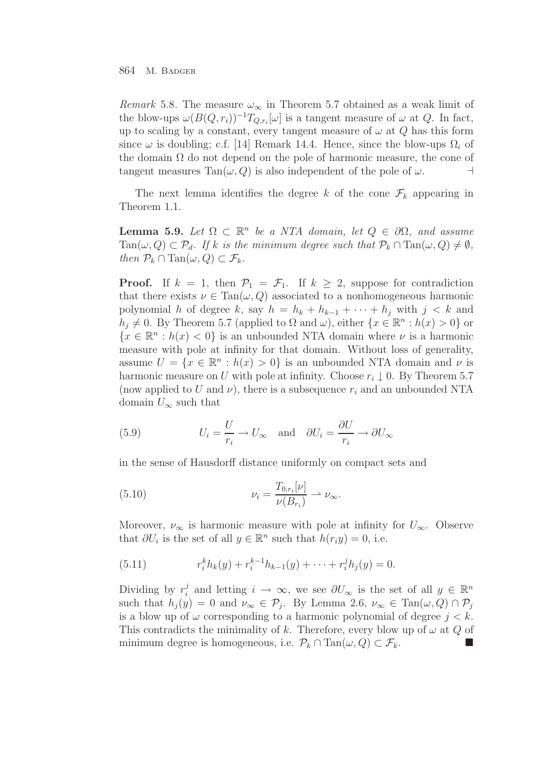Remark 5.8. The measure  $\omega_{\infty}$  in Theorem 5.7 obtained as a weak limit of the blow-ups  $\omega(B(Q, r_i))^{-1}T_{Q, r_i}[\omega]$  is a tangent measure of  $\omega$  at  $Q$ . In fact, up to scaling by a constant, every tangent measure of  $\omega$  at  $Q$  has this form since  $\omega$  is doubling; c.f. [14] Remark 14.4. Hence, since the blow-ups  $\Omega_i$  of the domain  $\Omega$  do not depend on the pole of harmonic measure, the cone of tangent measures  $Tan(\omega, Q)$  is also independent of the pole of  $\omega$ .

The next lemma identifies the degree k of the cone  $\mathcal{F}_k$  appearing in Theorem 1.1.

**Lemma 5.9.** Let  $\Omega \subset \mathbb{R}^n$  be a NTA domain, let  $Q \in \partial \Omega$ , and assume  $\text{Tan}(\omega, Q) \subset \mathcal{P}_d$ . If k is the minimum degree such that  $\mathcal{P}_k \cap \text{Tan}(\omega, Q) \neq \emptyset$ , then  $\mathcal{P}_k \cap \text{Tan}(\omega, Q) \subset \mathcal{F}_k$ .

**Proof.** If  $k = 1$ , then  $\mathcal{P}_1 = \mathcal{F}_1$ . If  $k \geq 2$ , suppose for contradiction that there exists  $\nu \in \text{Tan}(\omega, Q)$  associated to a nonhomogeneous harmonic polynomial h of degree k, say  $h = h_k + h_{k-1} + \cdots + h_j$  with  $j < k$  and  $h_i \neq 0$ . By Theorem 5.7 (applied to  $\Omega$  and  $\omega$ ), either  $\{x \in \mathbb{R}^n : h(x) > 0\}$  or  ${x \in \mathbb{R}^n : h(x) < 0}$  is an unbounded NTA domain where  $\nu$  is a harmonic measure with pole at infinity for that domain. Without loss of generality, assume  $U = \{x \in \mathbb{R}^n : h(x) > 0\}$  is an unbounded NTA domain and  $\nu$  is harmonic measure on U with pole at infinity. Choose  $r_i \downarrow 0$ . By Theorem 5.7 (now applied to U and  $\nu$ ), there is a subsequence  $r_i$  and an unbounded NTA domain  $U_{\infty}$  such that

(5.9) 
$$
U_i = \frac{U}{r_i} \to U_\infty \text{ and } \partial U_i = \frac{\partial U}{r_i} \to \partial U_\infty
$$

in the sense of Hausdorff distance uniformly on compact sets and

(5.10) 
$$
\nu_i = \frac{T_{0,r_i}[\nu]}{\nu(B_{r_i})} \rightharpoonup \nu_{\infty}.
$$

Moreover,  $\nu_{\infty}$  is harmonic measure with pole at infinity for  $U_{\infty}$ . Observe that  $\partial U_i$  is the set of all  $y \in \mathbb{R}^n$  such that  $h(r_i y) = 0$ , i.e.

(5.11) 
$$
r_i^k h_k(y) + r_i^{k-1} h_{k-1}(y) + \cdots + r_i^j h_j(y) = 0.
$$

Dividing by  $r_i^j$  and letting  $i \to \infty$ , we see  $\partial U_{\infty}$  is the set of all  $y \in \mathbb{R}^n$ such that  $h_j(y) = 0$  and  $\nu_\infty \in \mathcal{P}_j$ . By Lemma 2.6,  $\nu_\infty \in \text{Tan}(\omega, Q) \cap \mathcal{P}_j$ is a blow up of  $\omega$  corresponding to a harmonic polynomial of degree  $j < k$ . This contradicts the minimality of k. Therefore, every blow up of  $\omega$  at  $Q$  of minimum degree is homogeneous, i.e.  $\mathcal{P}_k \cap \text{Tan}(\omega, Q) \subset \mathcal{F}_k$ .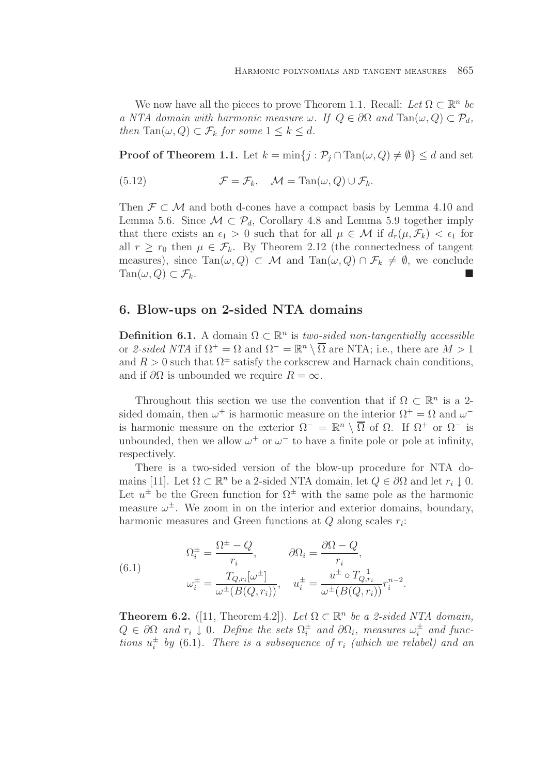We now have all the pieces to prove Theorem 1.1. Recall: Let  $\Omega \subset \mathbb{R}^n$  be a NTA domain with harmonic measure  $\omega$ . If  $Q \in \partial \Omega$  and  $\text{Tan}(\omega, Q) \subset \mathcal{P}_d$ , then Tan $(\omega, Q) \subset \mathcal{F}_k$  for some  $1 \leq k \leq d$ .

**Proof of Theorem 1.1.** Let  $k = \min\{j : \mathcal{P}_j \cap \text{Tan}(\omega, Q) \neq \emptyset\} \leq d$  and set

(5.12) 
$$
\mathcal{F} = \mathcal{F}_k, \quad \mathcal{M} = \text{Tan}(\omega, Q) \cup \mathcal{F}_k.
$$

Then  $\mathcal{F} \subset \mathcal{M}$  and both d-cones have a compact basis by Lemma 4.10 and Lemma 5.6. Since  $\mathcal{M} \subset \mathcal{P}_d$ , Corollary 4.8 and Lemma 5.9 together imply that there exists an  $\epsilon_1 > 0$  such that for all  $\mu \in \mathcal{M}$  if  $d_r(\mu, \mathcal{F}_k) < \epsilon_1$  for all  $r \geq r_0$  then  $\mu \in \mathcal{F}_k$ . By Theorem 2.12 (the connectedness of tangent measures), since  $\text{Tan}(\omega, Q) \subset \mathcal{M}$  and  $\text{Tan}(\omega, Q) \cap \mathcal{F}_k \neq \emptyset$ , we conclude  $\text{Tan}(\omega, Q) \subset \mathcal{F}_k$ .

## **6. Blow-ups on 2-sided NTA domains**

**Definition 6.1.** A domain  $\Omega \subset \mathbb{R}^n$  is two-sided non-tangentially accessible or 2-sided NTA if  $\Omega^+ = \Omega$  and  $\Omega^- = \mathbb{R}^n \setminus \overline{\Omega}$  are NTA; i.e., there are  $M > 1$ and  $R > 0$  such that  $\Omega^{\pm}$  satisfy the corkscrew and Harnack chain conditions, and if  $\partial\Omega$  is unbounded we require  $R = \infty$ .

Throughout this section we use the convention that if  $\Omega \subset \mathbb{R}^n$  is a 2sided domain, then  $\omega^+$  is harmonic measure on the interior  $\Omega^+ = \Omega$  and  $\omega^$ is harmonic measure on the exterior  $\Omega^- = \mathbb{R}^n \setminus \overline{\Omega}$  of  $\Omega$ . If  $\Omega^+$  or  $\Omega^-$  is unbounded, then we allow  $\omega^+$  or  $\omega^-$  to have a finite pole or pole at infinity, respectively.

There is a two-sided version of the blow-up procedure for NTA domains [11]. Let  $\Omega \subset \mathbb{R}^n$  be a 2-sided NTA domain, let  $Q \in \partial \Omega$  and let  $r_i \downarrow 0$ . Let  $u^{\pm}$  be the Green function for  $\Omega^{\pm}$  with the same pole as the harmonic measure  $\omega^{\pm}$ . We zoom in on the interior and exterior domains, boundary, harmonic measures and Green functions at  $Q$  along scales  $r_i$ .

(6.1) 
$$
\Omega_i^{\pm} = \frac{\Omega^{\pm} - Q}{r_i}, \qquad \partial \Omega_i = \frac{\partial \Omega - Q}{r_i},
$$

$$
\omega_i^{\pm} = \frac{T_{Q, r_i}[\omega^{\pm}]}{\omega^{\pm} (B(Q, r_i))}, \quad u_i^{\pm} = \frac{u^{\pm} \circ T_{Q, r_i}^{-1}}{\omega^{\pm} (B(Q, r_i))} r_i^{n-2}.
$$

**Theorem 6.2.** ([11, Theorem 4.2]). Let  $\Omega \subset \mathbb{R}^n$  be a 2-sided NTA domain,  $Q \in \partial \Omega$  and  $r_i \downarrow 0$ . Define the sets  $\Omega_i^{\pm}$  and  $\partial \Omega_i$ , measures  $\omega_i^{\pm}$  and functions  $u_i^{\pm}$  by (6.1). There is a subsequence of  $r_i$  (which we relabel) and an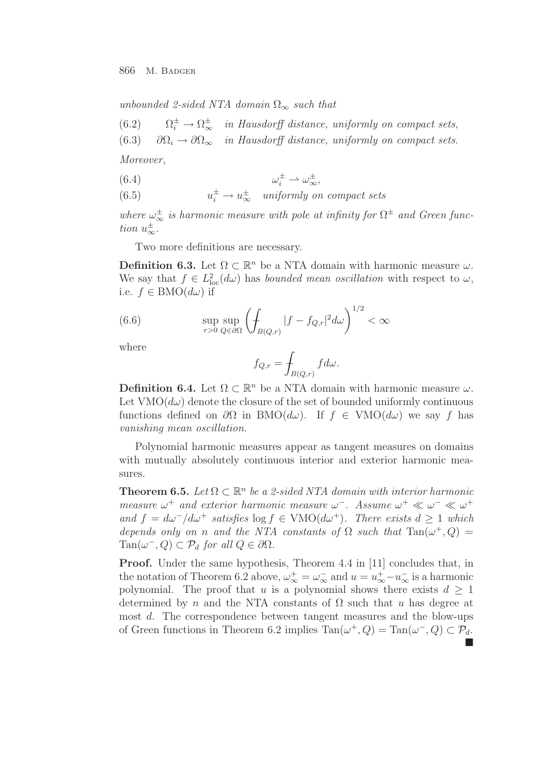unbounded 2-sided NTA domain  $\Omega_{\infty}$  such that

(6.2)  $\Omega_i^{\pm} \to \Omega_{\infty}^{\pm}$  in Hausdorff distance, uniformly on compact sets,

(6.3)  $\partial\Omega_i \to \partial\Omega_\infty$  in Hausdorff distance, uniformly on compact sets.

Moreover,

$$
(6.4) \t\t \t\t \omega_i^{\pm} \rightharpoonup \omega_{\infty}^{\pm},
$$

(6.5) 
$$
u_i^{\pm} \to u_{\infty}^{\pm} \quad \text{uniformly on compact sets}
$$

where  $\omega_{\infty}^{\pm}$  is harmonic measure with pole at infinity for  $\Omega^{\pm}$  and Green function  $u_{\infty}^{\pm}$ .

Two more definitions are necessary.

**Definition 6.3.** Let  $\Omega \subset \mathbb{R}^n$  be a NTA domain with harmonic measure  $\omega$ . We say that  $f \in L^2_{loc}(d\omega)$  has bounded mean oscillation with respect to  $\omega$ , i.e.  $f \in BMO(d\omega)$  if

(6.6) 
$$
\sup_{r>0} \sup_{Q \in \partial\Omega} \left( \int_{B(Q,r)} |f - f_{Q,r}|^2 d\omega \right)^{1/2} < \infty
$$

where

$$
f_{Q,r} = \int_{B(Q,r)} f d\omega.
$$

**Definition 6.4.** Let  $\Omega \subset \mathbb{R}^n$  be a NTA domain with harmonic measure  $\omega$ . Let  $VMO(d\omega)$  denote the closure of the set of bounded uniformly continuous functions defined on  $\partial\Omega$  in BMO( $d\omega$ ). If  $f \in VMO(d\omega)$  we say f has vanishing mean oscillation.

Polynomial harmonic measures appear as tangent measures on domains with mutually absolutely continuous interior and exterior harmonic measures.

**Theorem 6.5.** Let  $\Omega \subset \mathbb{R}^n$  be a 2-sided NTA domain with interior harmonic measure  $\omega^+$  and exterior harmonic measure  $\omega^-$ . Assume  $\omega^+ \ll \omega^- \ll \omega^+$ and  $f = d\omega^{-}/d\omega^{+}$  satisfies  $\log f \in \text{VMO}(d\omega^{+})$ . There exists  $d > 1$  which depends only on n and the NTA constants of  $\Omega$  such that  $\text{Tan}(\omega^+,Q)$  $\text{Tan}(\omega^-, Q) \subset \mathcal{P}_d$  for all  $Q \in \partial \Omega$ .

Proof. Under the same hypothesis, Theorem 4.4 in [11] concludes that, in the notation of Theorem 6.2 above,  $\omega_{\infty}^+ = \omega_{\infty}^-$  and  $u = u_{\infty}^+ - u_{\infty}^-$  is a harmonic polynomial. The proof that u is a polynomial shows there exists  $d \geq 1$ determined by n and the NTA constants of  $\Omega$  such that u has degree at most d. The correspondence between tangent measures and the blow-ups of Green functions in Theorem 6.2 implies  $\text{Tan}(\omega^+, Q) = \text{Tan}(\omega^-, Q) \subset \mathcal{P}_d$ .

-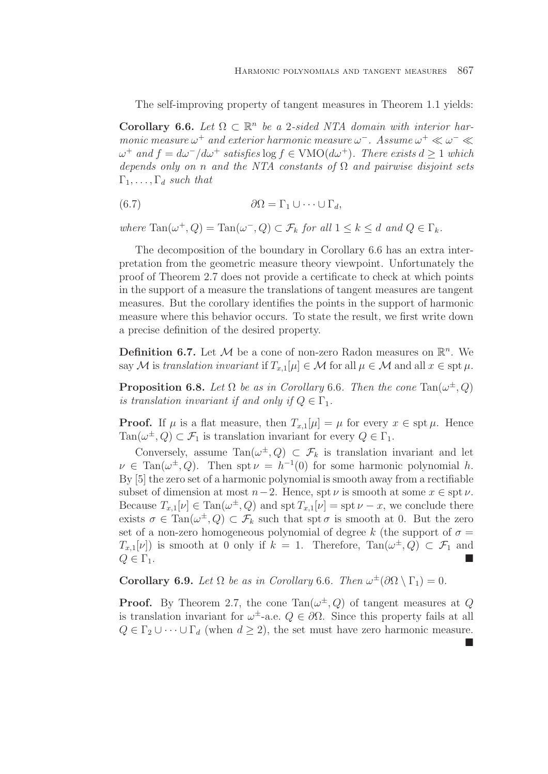The self-improving property of tangent measures in Theorem 1.1 yields:

**Corollary 6.6.** Let  $\Omega \subset \mathbb{R}^n$  be a 2-sided NTA domain with interior harmonic measure  $\omega^+$  and exterior harmonic measure  $\omega^-$ . Assume  $\omega^+ \ll \omega^- \ll$  $ω<sup>+</sup>$  and  $f = dω<sup>-</sup>/dω<sup>+</sup>$  satisfies log  $f ∈ VMO(dω<sup>+</sup>)$ . There exists  $d ≥ 1$  which depends only on n and the NTA constants of  $\Omega$  and pairwise disjoint sets  $\Gamma_1,\ldots,\Gamma_d$  such that

(6.7) 
$$
\partial \Omega = \Gamma_1 \cup \cdots \cup \Gamma_d,
$$

where  $\text{Tan}(\omega^+, Q) = \text{Tan}(\omega^-, Q) \subset \mathcal{F}_k$  for all  $1 \leq k \leq d$  and  $Q \in \Gamma_k$ .

The decomposition of the boundary in Corollary 6.6 has an extra interpretation from the geometric measure theory viewpoint. Unfortunately the proof of Theorem 2.7 does not provide a certificate to check at which points in the support of a measure the translations of tangent measures are tangent measures. But the corollary identifies the points in the support of harmonic measure where this behavior occurs. To state the result, we first write down a precise definition of the desired property.

**Definition 6.7.** Let  $\mathcal M$  be a cone of non-zero Radon measures on  $\mathbb R^n$ . We say M is translation invariant if  $T_{x,1}[\mu] \in \mathcal{M}$  for all  $\mu \in \mathcal{M}$  and all  $x \in \text{spt } \mu$ .

**Proposition 6.8.** Let  $\Omega$  be as in Corollary 6.6. Then the cone Tan( $\omega^{\pm}$ , Q) is translation invariant if and only if  $Q \in \Gamma_1$ .

**Proof.** If  $\mu$  is a flat measure, then  $T_{x,1}[\mu] = \mu$  for every  $x \in \text{spt } \mu$ . Hence  $\text{Tan}(\omega^{\pm}, Q) \subset \mathcal{F}_1$  is translation invariant for every  $Q \in \Gamma_1$ .

Conversely, assume  $Tan(\omega^{\pm}, Q) \subset \mathcal{F}_k$  is translation invariant and let  $\nu \in \text{Tan}(\omega^{\pm}, Q)$ . Then spt  $\nu = h^{-1}(0)$  for some harmonic polynomial h. By [5] the zero set of a harmonic polynomial is smooth away from a rectifiable subset of dimension at most  $n-2$ . Hence, spt  $\nu$  is smooth at some  $x \in \text{spt } \nu$ . Because  $T_{x,1}[\nu] \in \text{Tan}(\omega^{\pm}, Q)$  and  $\text{spt } T_{x,1}[\nu] = \text{spt } \nu - x$ , we conclude there exists  $\sigma \in \text{Tan}(\omega^{\pm}, Q) \subset \mathcal{F}_k$  such that spt  $\sigma$  is smooth at 0. But the zero set of a non-zero homogeneous polynomial of degree k (the support of  $\sigma =$  $T_{x,1}[\nu]$  is smooth at 0 only if  $k = 1$ . Therefore, Tan $(\omega^{\pm}, Q) \subset \mathcal{F}_1$  and  $Q \in \Gamma_1$ .

**Corollary 6.9.** Let  $\Omega$  be as in Corollary 6.6. Then  $\omega^{\pm}(\partial \Omega \setminus \Gamma_1)=0$ .

**Proof.** By Theorem 2.7, the cone Tan $(\omega^{\pm}, Q)$  of tangent measures at Q is translation invariant for  $\omega^{\pm}$ -a.e.  $Q \in \partial \Omega$ . Since this property fails at all  $Q \in \Gamma_2 \cup \cdots \cup \Gamma_d$  (when  $d \geq 2$ ), the set must have zero harmonic measure.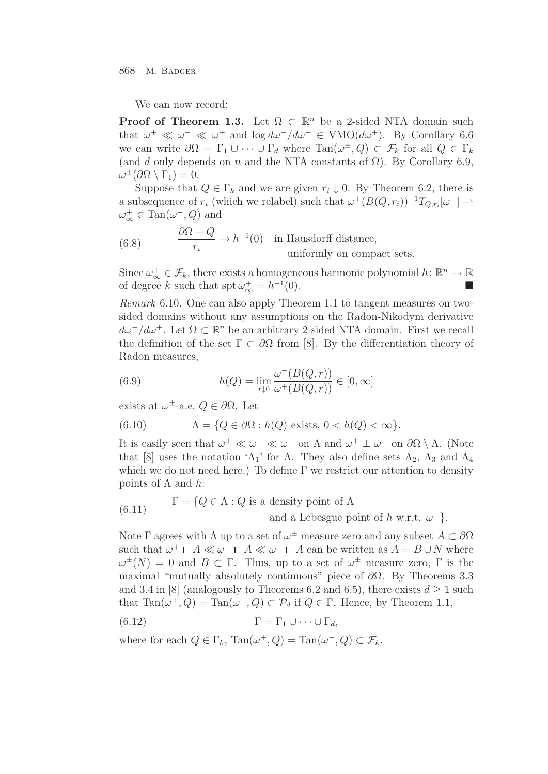We can now record:

**Proof of Theorem 1.3.** Let  $\Omega \subset \mathbb{R}^n$  be a 2-sided NTA domain such that  $\omega^+ \ll \omega^- \ll \omega^+$  and  $\log d\omega^-/d\omega^+ \in VMO(d\omega^+)$ . By Corollary 6.6 we can write  $\partial\Omega=\Gamma_1\cup\cdots\cup\Gamma_d$  where  $\text{Tan}(\omega^{\pm},Q)\subset\mathcal{F}_k$  for all  $Q\in\Gamma_k$ (and d only depends on n and the NTA constants of  $\Omega$ ). By Corollary 6.9,  $\omega^{\pm}(\partial\Omega\setminus\Gamma_1)=0.$ 

Suppose that  $Q \in \Gamma_k$  and we are given  $r_i \downarrow 0$ . By Theorem 6.2, there is a subsequence of  $r_i$  (which we relabel) such that  $\omega^+(B(Q, r_i))^{-1}T_{Q, r_i}[\omega^+] \rightharpoonup$  $\omega_{\infty}^{+} \in \text{Tan}(\omega^{+}, Q)$  and

(6.8) 
$$
\frac{\partial \Omega - Q}{r_i} \to h^{-1}(0) \text{ in Hausdorff distance,}
$$
 uniformly on compact sets.

Since  $\omega_{\infty}^+ \in \mathcal{F}_k$ , there exists a homogeneous harmonic polynomial  $h: \mathbb{R}^n \to \mathbb{R}$ of degree k such that  $\text{spt } \omega_{\infty}^{+} = h^{-1}(0)$ .

Remark 6.10. One can also apply Theorem 1.1 to tangent measures on twosided domains without any assumptions on the Radon-Nikodym derivative  $d\omega^-/d\omega^+$ . Let  $\Omega \subset \mathbb{R}^n$  be an arbitrary 2-sided NTA domain. First we recall the definition of the set  $\Gamma \subset \partial\Omega$  from [8]. By the differentiation theory of Radon measures,

(6.9) 
$$
h(Q) = \lim_{r \downarrow 0} \frac{\omega^{-}(B(Q, r))}{\omega^{+}(B(Q, r))} \in [0, \infty]
$$

exists at  $\omega^{\pm}$ -a.e.  $Q \in \partial \Omega$ . Let

(6.10) 
$$
\Lambda = \{Q \in \partial\Omega : h(Q) \text{ exists, } 0 < h(Q) < \infty\}.
$$

It is easily seen that  $\omega^+ \ll \omega^- \ll \omega^+$  on  $\Lambda$  and  $\omega^+ \perp \omega^-$  on  $\partial \Omega \setminus \Lambda$ . (Note that [8] uses the notation ' $\Lambda_1$ ' for  $\Lambda$ . They also define sets  $\Lambda_2$ ,  $\Lambda_3$  and  $\Lambda_4$ which we do not need here.) To define  $\Gamma$  we restrict our attention to density points of Λ and  $h$ :

(6.11) 
$$
\Gamma = \{Q \in \Lambda : Q \text{ is a density point of } \Lambda \text{ and a Lebesgue point of } h \text{ w.r.t. } \omega^+\}.
$$

Note Γ agrees with  $\Lambda$  up to a set of  $\omega^{\pm}$  measure zero and any subset  $A \subset \partial \Omega$ such that  $\omega^+ \perp A \ll \omega^- \perp A \ll \omega^+ \perp A$  can be written as  $A = B \cup N$  where  $\omega^{\pm}(N) = 0$  and  $B \subset \Gamma$ . Thus, up to a set of  $\omega^{\pm}$  measure zero,  $\Gamma$  is the maximal "mutually absolutely continuous" piece of  $\partial\Omega$ . By Theorems 3.3 and 3.4 in [8] (analogously to Theorems 6.2 and 6.5), there exists  $d \geq 1$  such that  $\text{Tan}(\omega^+, Q) = \text{Tan}(\omega^-, Q) \subset \mathcal{P}_d$  if  $Q \in \Gamma$ . Hence, by Theorem 1.1,

(6.12) 
$$
\Gamma = \Gamma_1 \cup \cdots \cup \Gamma_d,
$$

where for each  $Q \in \Gamma_k$ ,  $\text{Tan}(\omega^+, Q) = \text{Tan}(\omega^-, Q) \subset \mathcal{F}_k$ .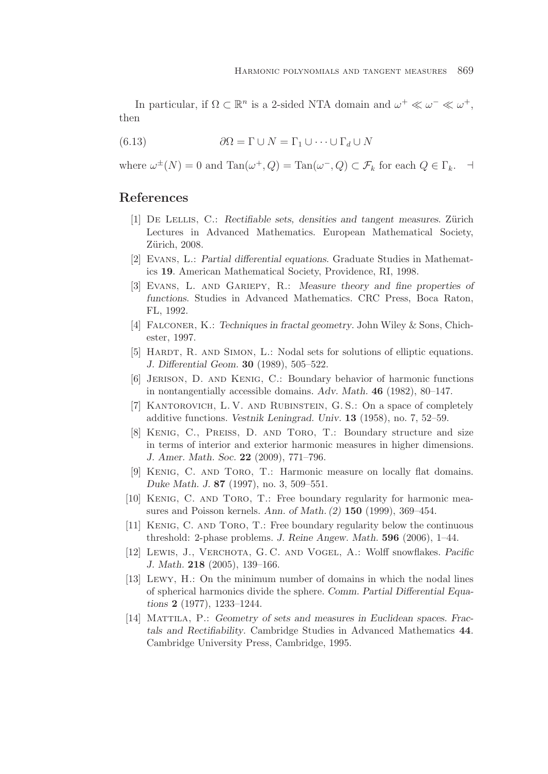In particular, if  $\Omega \subset \mathbb{R}^n$  is a 2-sided NTA domain and  $\omega^+ \ll \omega^- \ll \omega^+$ , then

(6.13) 
$$
\partial \Omega = \Gamma \cup N = \Gamma_1 \cup \dots \cup \Gamma_d \cup N
$$

where  $\omega^{\pm}(N) = 0$  and  $\text{Tan}(\omega^+, Q) = \text{Tan}(\omega^-, Q) \subset \mathcal{F}_k$  for each  $Q \in \Gamma_k$ .

# **References**

- [1] DE LELLIS, C.: *Rectifiable sets, densities and tangent measures*. Zürich Lectures in Advanced Mathematics. European Mathematical Society, Zürich, 2008.
- [2] Evans, L.: *Partial differential equations*. Graduate Studies in Mathematics **19**. American Mathematical Society, Providence, RI, 1998.
- [3] Evans, L. and Gariepy, R.: *Measure theory and fine properties of functions*. Studies in Advanced Mathematics. CRC Press, Boca Raton, FL, 1992.
- [4] Falconer, K.: *Techniques in fractal geometry*. John Wiley & Sons, Chichester, 1997.
- [5] HARDT, R. AND SIMON, L.: Nodal sets for solutions of elliptic equations. *J. Differential Geom.* **30** (1989), 505–522.
- [6] Jerison, D. and Kenig, C.: Boundary behavior of harmonic functions in nontangentially accessible domains. *Adv. Math.* **46** (1982), 80–147.
- [7] KANTOROVICH, L. V. AND RUBINSTEIN, G. S.: On a space of completely additive functions. *Vestnik Leningrad. Univ.* **13** (1958), no. 7, 52–59.
- [8] Kenig, C., Preiss, D. and Toro, T.: Boundary structure and size in terms of interior and exterior harmonic measures in higher dimensions. *J. Amer. Math. Soc.* **22** (2009), 771–796.
- [9] Kenig, C. and Toro, T.: Harmonic measure on locally flat domains. *Duke Math. J.* **87** (1997), no. 3, 509–551.
- [10] KENIG, C. AND TORO, T.: Free boundary regularity for harmonic measures and Poisson kernels. *Ann. of Math. (2)* **150** (1999), 369–454.
- [11] Kenig, C. and Toro, T.: Free boundary regularity below the continuous threshold: 2-phase problems. *J. Reine Angew. Math.* **596** (2006), 1–44.
- [12] Lewis, J., Verchota, G. C. and Vogel, A.: Wolff snowflakes. *Pacific J. Math.* **218** (2005), 139–166.
- [13] Lewy, H.: On the minimum number of domains in which the nodal lines of spherical harmonics divide the sphere. *Comm. Partial Differential Equations* **2** (1977), 1233–1244.
- [14] Mattila, P.: *Geometry of sets and measures in Euclidean spaces. Fractals and Rectifiability*. Cambridge Studies in Advanced Mathematics **44**. Cambridge University Press, Cambridge, 1995.